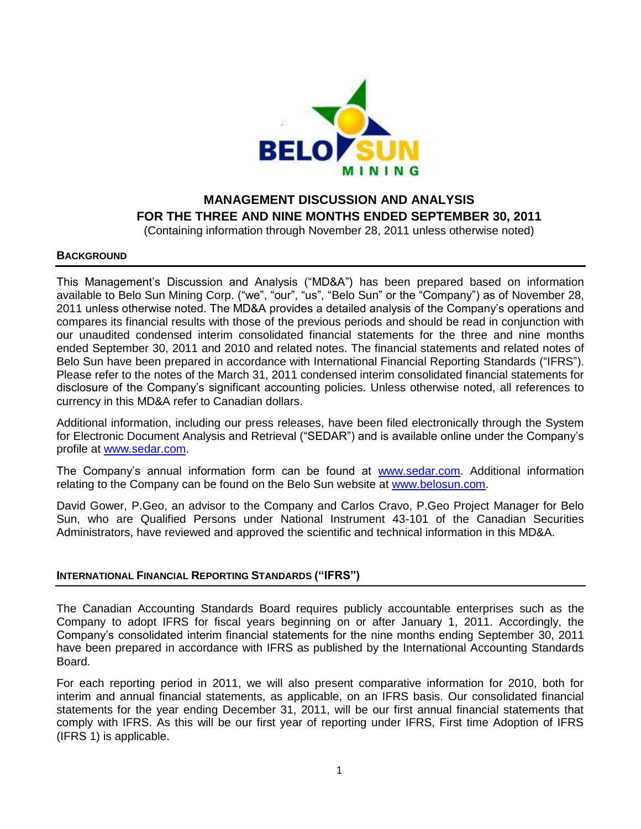

# **MANAGEMENT DISCUSSION AND ANALYSIS FOR THE THREE AND NINE MONTHS ENDED SEPTEMBER 30, 2011**

(Containing information through November 28, 2011 unless otherwise noted)

### **BACKGROUND**

This Management's Discussion and Analysis ("MD&A") has been prepared based on information available to Belo Sun Mining Corp. ("we", "our", "us", "Belo Sun" or the "Company") as of November 28, 2011 unless otherwise noted. The MD&A provides a detailed analysis of the Company's operations and compares its financial results with those of the previous periods and should be read in conjunction with our unaudited condensed interim consolidated financial statements for the three and nine months ended September 30, 2011 and 2010 and related notes. The financial statements and related notes of Belo Sun have been prepared in accordance with International Financial Reporting Standards ("IFRS"). Please refer to the notes of the March 31, 2011 condensed interim consolidated financial statements for disclosure of the Company's significant accounting policies. Unless otherwise noted, all references to currency in this MD&A refer to Canadian dollars.

Additional information, including our press releases, have been filed electronically through the System for Electronic Document Analysis and Retrieval ("SEDAR") and is available online under the Company's profile at [www.sedar.com.](http://www.sedar.com/)

The Company's annual information form can be found at [www.sedar.com.](http://www.sedar.com/) Additional information relating to the Company can be found on the Belo Sun website at [www.belosun.com.](http://www.belosun.com/)

David Gower, P.Geo, an advisor to the Company and Carlos Cravo, P.Geo Project Manager for Belo Sun, who are Qualified Persons under National Instrument 43-101 of the Canadian Securities Administrators, have reviewed and approved the scientific and technical information in this MD&A.

### **INTERNATIONAL FINANCIAL REPORTING STANDARDS ("IFRS")**

The Canadian Accounting Standards Board requires publicly accountable enterprises such as the Company to adopt IFRS for fiscal years beginning on or after January 1, 2011. Accordingly, the Company's consolidated interim financial statements for the nine months ending September 30, 2011 have been prepared in accordance with IFRS as published by the International Accounting Standards Board.

For each reporting period in 2011, we will also present comparative information for 2010, both for interim and annual financial statements, as applicable, on an IFRS basis. Our consolidated financial statements for the year ending December 31, 2011, will be our first annual financial statements that comply with IFRS. As this will be our first year of reporting under IFRS, First time Adoption of IFRS (IFRS 1) is applicable.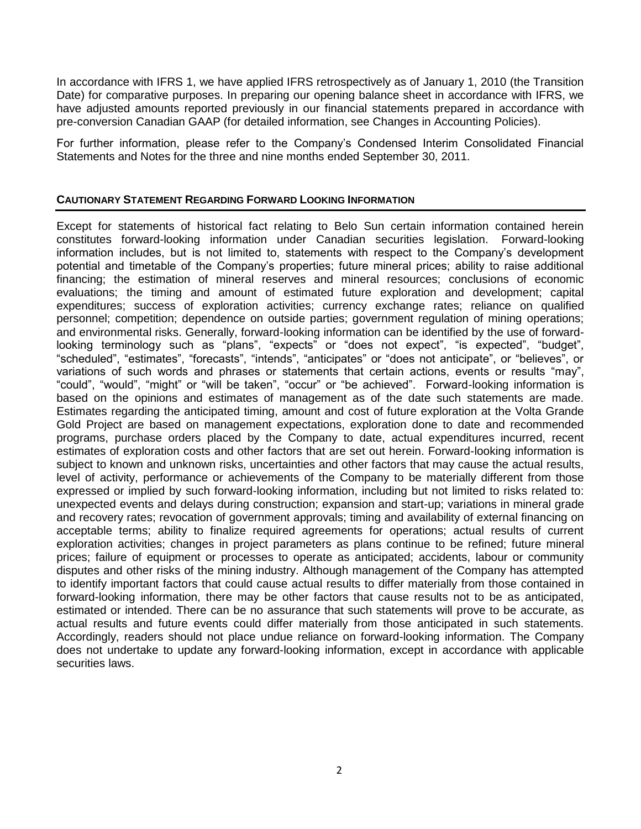In accordance with IFRS 1, we have applied IFRS retrospectively as of January 1, 2010 (the Transition Date) for comparative purposes. In preparing our opening balance sheet in accordance with IFRS, we have adjusted amounts reported previously in our financial statements prepared in accordance with pre-conversion Canadian GAAP (for detailed information, see Changes in Accounting Policies).

For further information, please refer to the Company's Condensed Interim Consolidated Financial Statements and Notes for the three and nine months ended September 30, 2011.

### **CAUTIONARY STATEMENT REGARDING FORWARD LOOKING INFORMATION**

Except for statements of historical fact relating to Belo Sun certain information contained herein constitutes forward-looking information under Canadian securities legislation. Forward-looking information includes, but is not limited to, statements with respect to the Company's development potential and timetable of the Company's properties; future mineral prices; ability to raise additional financing; the estimation of mineral reserves and mineral resources; conclusions of economic evaluations; the timing and amount of estimated future exploration and development; capital expenditures; success of exploration activities; currency exchange rates; reliance on qualified personnel; competition; dependence on outside parties; government regulation of mining operations; and environmental risks. Generally, forward-looking information can be identified by the use of forwardlooking terminology such as "plans", "expects" or "does not expect", "is expected", "budget", "scheduled", "estimates", "forecasts", "intends", "anticipates" or "does not anticipate", or "believes", or variations of such words and phrases or statements that certain actions, events or results "may", "could", "would", "might" or "will be taken", "occur" or "be achieved". Forward-looking information is based on the opinions and estimates of management as of the date such statements are made. Estimates regarding the anticipated timing, amount and cost of future exploration at the Volta Grande Gold Project are based on management expectations, exploration done to date and recommended programs, purchase orders placed by the Company to date, actual expenditures incurred, recent estimates of exploration costs and other factors that are set out herein. Forward-looking information is subject to known and unknown risks, uncertainties and other factors that may cause the actual results, level of activity, performance or achievements of the Company to be materially different from those expressed or implied by such forward-looking information, including but not limited to risks related to: unexpected events and delays during construction; expansion and start-up; variations in mineral grade and recovery rates; revocation of government approvals; timing and availability of external financing on acceptable terms; ability to finalize required agreements for operations; actual results of current exploration activities; changes in project parameters as plans continue to be refined; future mineral prices; failure of equipment or processes to operate as anticipated; accidents, labour or community disputes and other risks of the mining industry. Although management of the Company has attempted to identify important factors that could cause actual results to differ materially from those contained in forward-looking information, there may be other factors that cause results not to be as anticipated, estimated or intended. There can be no assurance that such statements will prove to be accurate, as actual results and future events could differ materially from those anticipated in such statements. Accordingly, readers should not place undue reliance on forward-looking information. The Company does not undertake to update any forward-looking information, except in accordance with applicable securities laws.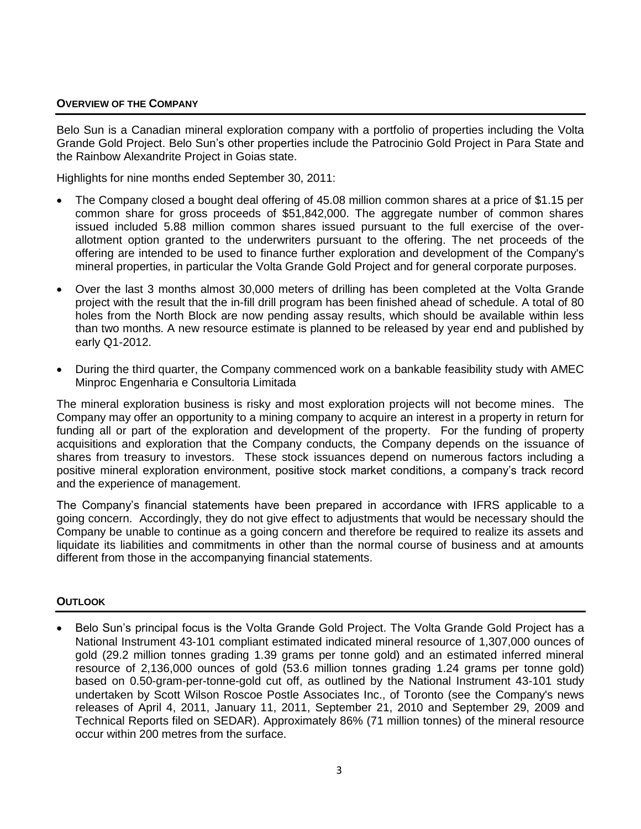### **OVERVIEW OF THE COMPANY**

Belo Sun is a Canadian mineral exploration company with a portfolio of properties including the Volta Grande Gold Project. Belo Sun's other properties include the Patrocinio Gold Project in Para State and the Rainbow Alexandrite Project in Goias state.

Highlights for nine months ended September 30, 2011:

- The Company closed a bought deal offering of 45.08 million common shares at a price of \$1.15 per common share for gross proceeds of \$51,842,000. The aggregate number of common shares issued included 5.88 million common shares issued pursuant to the full exercise of the overallotment option granted to the underwriters pursuant to the offering. The net proceeds of the offering are intended to be used to finance further exploration and development of the Company's mineral properties, in particular the Volta Grande Gold Project and for general corporate purposes.
- Over the last 3 months almost 30,000 meters of drilling has been completed at the Volta Grande project with the result that the in-fill drill program has been finished ahead of schedule. A total of 80 holes from the North Block are now pending assay results, which should be available within less than two months. A new resource estimate is planned to be released by year end and published by early Q1-2012.
- During the third quarter, the Company commenced work on a bankable feasibility study with AMEC Minproc Engenharia e Consultoria Limitada

The mineral exploration business is risky and most exploration projects will not become mines. The Company may offer an opportunity to a mining company to acquire an interest in a property in return for funding all or part of the exploration and development of the property. For the funding of property acquisitions and exploration that the Company conducts, the Company depends on the issuance of shares from treasury to investors. These stock issuances depend on numerous factors including a positive mineral exploration environment, positive stock market conditions, a company's track record and the experience of management.

The Company's financial statements have been prepared in accordance with IFRS applicable to a going concern. Accordingly, they do not give effect to adjustments that would be necessary should the Company be unable to continue as a going concern and therefore be required to realize its assets and liquidate its liabilities and commitments in other than the normal course of business and at amounts different from those in the accompanying financial statements.

### **OUTLOOK**

 Belo Sun's principal focus is the Volta Grande Gold Project. The Volta Grande Gold Project has a National Instrument 43-101 compliant estimated indicated mineral resource of 1,307,000 ounces of gold (29.2 million tonnes grading 1.39 grams per tonne gold) and an estimated inferred mineral resource of 2,136,000 ounces of gold (53.6 million tonnes grading 1.24 grams per tonne gold) based on 0.50-gram-per-tonne-gold cut off, as outlined by the National Instrument 43-101 study undertaken by Scott Wilson Roscoe Postle Associates Inc., of Toronto (see the Company's news releases of April 4, 2011, January 11, 2011, September 21, 2010 and September 29, 2009 and Technical Reports filed on SEDAR). Approximately 86% (71 million tonnes) of the mineral resource occur within 200 metres from the surface.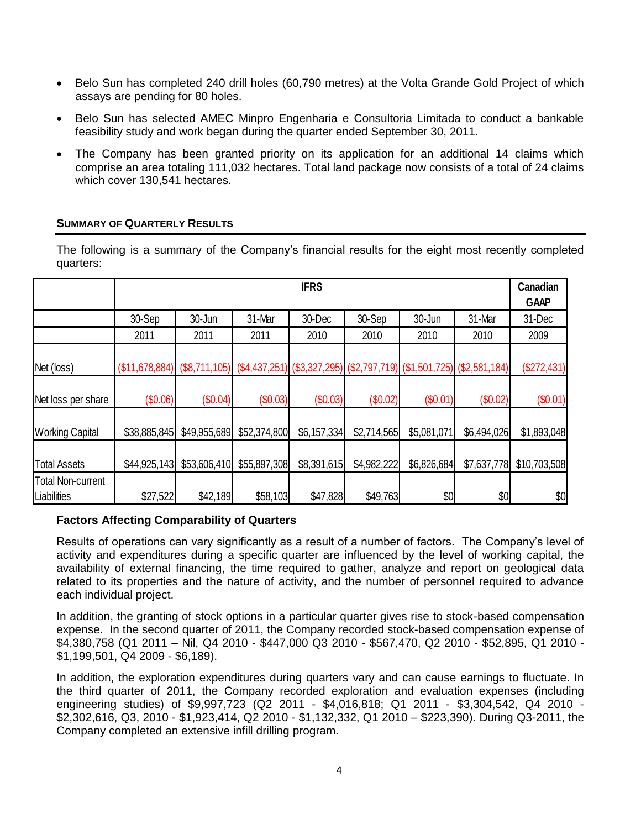- Belo Sun has completed 240 drill holes (60,790 metres) at the Volta Grande Gold Project of which assays are pending for 80 holes.
- Belo Sun has selected AMEC Minpro Engenharia e Consultoria Limitada to conduct a bankable feasibility study and work began during the quarter ended September 30, 2011.
- The Company has been granted priority on its application for an additional 14 claims which comprise an area totaling 111,032 hectares. Total land package now consists of a total of 24 claims which cover 130,541 hectares.

### **SUMMARY OF QUARTERLY RESULTS**

The following is a summary of the Company's financial results for the eight most recently completed quarters:

|                                         | <b>IFRS</b>    |                 |               |             |             |             |                                                                 |              |  |  |
|-----------------------------------------|----------------|-----------------|---------------|-------------|-------------|-------------|-----------------------------------------------------------------|--------------|--|--|
|                                         | 30-Sep         | 30-Jun          | 31-Mar        | 30-Dec      | 30-Sep      | 30-Jun      | 31-Mar                                                          | 31-Dec       |  |  |
|                                         | 2011           | 2011            | 2011          | 2010        | 2010        | 2010        | 2010                                                            | 2009         |  |  |
| Net (loss)                              | (\$11,678,884) | $(\$8,711,105)$ | (\$4,437,251) |             |             |             | $(\$3,327,295)$ $(\$2,797,719)$ $(\$1,501,725)$ $(\$2,581,184)$ | (\$272,431)  |  |  |
| Net loss per share                      | (\$0.06)       | (\$0.04)        | (\$0.03)      | (\$0.03)    | (\$0.02)    | (\$0.01)    | (\$0.02)                                                        | (\$0.01)     |  |  |
| <b>Working Capital</b>                  | \$38,885,845   | \$49,955,689    | \$52,374,800  | \$6,157,334 | \$2,714,565 | \$5,081,071 | \$6,494,026                                                     | \$1,893,048  |  |  |
| <b>Total Assets</b>                     | \$44,925,143   | \$53,606,410    | \$55,897,308  | \$8,391,615 | \$4,982,222 | \$6,826,684 | \$7,637,778                                                     | \$10,703,508 |  |  |
| <b>Total Non-current</b><br>Liabilities | \$27,522       | \$42,189        | \$58,103      | \$47,828    | \$49,763    | \$0         | \$0                                                             | \$0          |  |  |

### **Factors Affecting Comparability of Quarters**

Results of operations can vary significantly as a result of a number of factors. The Company's level of activity and expenditures during a specific quarter are influenced by the level of working capital, the availability of external financing, the time required to gather, analyze and report on geological data related to its properties and the nature of activity, and the number of personnel required to advance each individual project.

In addition, the granting of stock options in a particular quarter gives rise to stock-based compensation expense. In the second quarter of 2011, the Company recorded stock-based compensation expense of \$4,380,758 (Q1 2011 – Nil, Q4 2010 - \$447,000 Q3 2010 - \$567,470, Q2 2010 - \$52,895, Q1 2010 - \$1,199,501, Q4 2009 - \$6,189).

In addition, the exploration expenditures during quarters vary and can cause earnings to fluctuate. In the third quarter of 2011, the Company recorded exploration and evaluation expenses (including engineering studies) of \$9,997,723 (Q2 2011 - \$4,016,818; Q1 2011 - \$3,304,542, Q4 2010 - \$2,302,616, Q3, 2010 - \$1,923,414, Q2 2010 - \$1,132,332, Q1 2010 – \$223,390). During Q3-2011, the Company completed an extensive infill drilling program.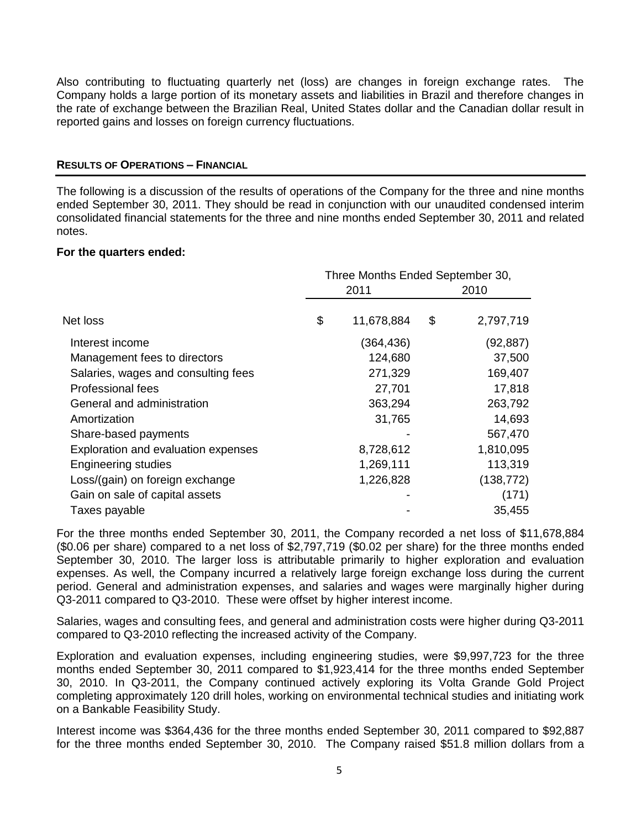Also contributing to fluctuating quarterly net (loss) are changes in foreign exchange rates. The Company holds a large portion of its monetary assets and liabilities in Brazil and therefore changes in the rate of exchange between the Brazilian Real, United States dollar and the Canadian dollar result in reported gains and losses on foreign currency fluctuations.

### **RESULTS OF OPERATIONS – FINANCIAL**

The following is a discussion of the results of operations of the Company for the three and nine months ended September 30, 2011. They should be read in conjunction with our unaudited condensed interim consolidated financial statements for the three and nine months ended September 30, 2011 and related notes.

### **For the quarters ended:**

|                                     | Three Months Ended September 30, |            |      |            |  |
|-------------------------------------|----------------------------------|------------|------|------------|--|
|                                     |                                  | 2011       | 2010 |            |  |
| Net loss                            | \$                               | 11,678,884 | \$   | 2,797,719  |  |
| Interest income                     |                                  | (364, 436) |      | (92,887)   |  |
| Management fees to directors        |                                  | 124,680    |      | 37,500     |  |
| Salaries, wages and consulting fees |                                  | 271,329    |      | 169,407    |  |
| <b>Professional fees</b>            |                                  | 27,701     |      | 17,818     |  |
| General and administration          |                                  | 363,294    |      | 263,792    |  |
| Amortization                        |                                  | 31,765     |      | 14,693     |  |
| Share-based payments                |                                  |            |      | 567,470    |  |
| Exploration and evaluation expenses |                                  | 8,728,612  |      | 1,810,095  |  |
| <b>Engineering studies</b>          |                                  | 1,269,111  |      | 113,319    |  |
| Loss/(gain) on foreign exchange     |                                  | 1,226,828  |      | (138, 772) |  |
| Gain on sale of capital assets      |                                  |            |      | (171)      |  |
| Taxes payable                       |                                  |            |      | 35,455     |  |

For the three months ended September 30, 2011, the Company recorded a net loss of \$11,678,884 (\$0.06 per share) compared to a net loss of \$2,797,719 (\$0.02 per share) for the three months ended September 30, 2010. The larger loss is attributable primarily to higher exploration and evaluation expenses. As well, the Company incurred a relatively large foreign exchange loss during the current period. General and administration expenses, and salaries and wages were marginally higher during Q3-2011 compared to Q3-2010. These were offset by higher interest income.

Salaries, wages and consulting fees, and general and administration costs were higher during Q3-2011 compared to Q3-2010 reflecting the increased activity of the Company.

Exploration and evaluation expenses, including engineering studies, were \$9,997,723 for the three months ended September 30, 2011 compared to \$1,923,414 for the three months ended September 30, 2010. In Q3-2011, the Company continued actively exploring its Volta Grande Gold Project completing approximately 120 drill holes, working on environmental technical studies and initiating work on a Bankable Feasibility Study.

Interest income was \$364,436 for the three months ended September 30, 2011 compared to \$92,887 for the three months ended September 30, 2010. The Company raised \$51.8 million dollars from a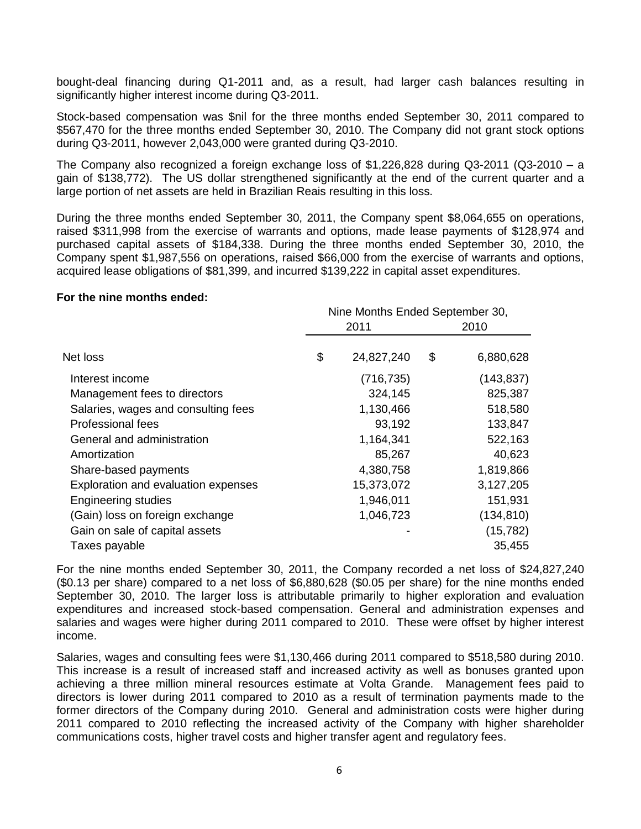bought-deal financing during Q1-2011 and, as a result, had larger cash balances resulting in significantly higher interest income during Q3-2011.

Stock-based compensation was \$nil for the three months ended September 30, 2011 compared to \$567,470 for the three months ended September 30, 2010. The Company did not grant stock options during Q3-2011, however 2,043,000 were granted during Q3-2010.

The Company also recognized a foreign exchange loss of \$1,226,828 during Q3-2011 (Q3-2010 – a gain of \$138,772). The US dollar strengthened significantly at the end of the current quarter and a large portion of net assets are held in Brazilian Reais resulting in this loss.

During the three months ended September 30, 2011, the Company spent \$8,064,655 on operations, raised \$311,998 from the exercise of warrants and options, made lease payments of \$128,974 and purchased capital assets of \$184,338. During the three months ended September 30, 2010, the Company spent \$1,987,556 on operations, raised \$66,000 from the exercise of warrants and options, acquired lease obligations of \$81,399, and incurred \$139,222 in capital asset expenditures.

#### **For the nine months ended:**

|                                     | Nine Months Ended September 30, |    |            |  |  |
|-------------------------------------|---------------------------------|----|------------|--|--|
|                                     | 2011                            |    | 2010       |  |  |
| Net loss                            | \$<br>24,827,240                | \$ | 6,880,628  |  |  |
| Interest income                     | (716, 735)                      |    | (143, 837) |  |  |
| Management fees to directors        | 324,145                         |    | 825,387    |  |  |
| Salaries, wages and consulting fees | 1,130,466                       |    | 518,580    |  |  |
| Professional fees                   | 93,192                          |    | 133,847    |  |  |
| General and administration          | 1,164,341                       |    | 522,163    |  |  |
| Amortization                        | 85,267                          |    | 40,623     |  |  |
| Share-based payments                | 4,380,758                       |    | 1,819,866  |  |  |
| Exploration and evaluation expenses | 15,373,072                      |    | 3,127,205  |  |  |
| <b>Engineering studies</b>          | 1,946,011                       |    | 151,931    |  |  |
| (Gain) loss on foreign exchange     | 1,046,723                       |    | (134, 810) |  |  |
| Gain on sale of capital assets      |                                 |    | (15, 782)  |  |  |
| Taxes payable                       |                                 |    | 35,455     |  |  |

For the nine months ended September 30, 2011, the Company recorded a net loss of \$24,827,240 (\$0.13 per share) compared to a net loss of \$6,880,628 (\$0.05 per share) for the nine months ended September 30, 2010. The larger loss is attributable primarily to higher exploration and evaluation expenditures and increased stock-based compensation. General and administration expenses and salaries and wages were higher during 2011 compared to 2010. These were offset by higher interest income.

Salaries, wages and consulting fees were \$1,130,466 during 2011 compared to \$518,580 during 2010. This increase is a result of increased staff and increased activity as well as bonuses granted upon achieving a three million mineral resources estimate at Volta Grande. Management fees paid to directors is lower during 2011 compared to 2010 as a result of termination payments made to the former directors of the Company during 2010. General and administration costs were higher during 2011 compared to 2010 reflecting the increased activity of the Company with higher shareholder communications costs, higher travel costs and higher transfer agent and regulatory fees.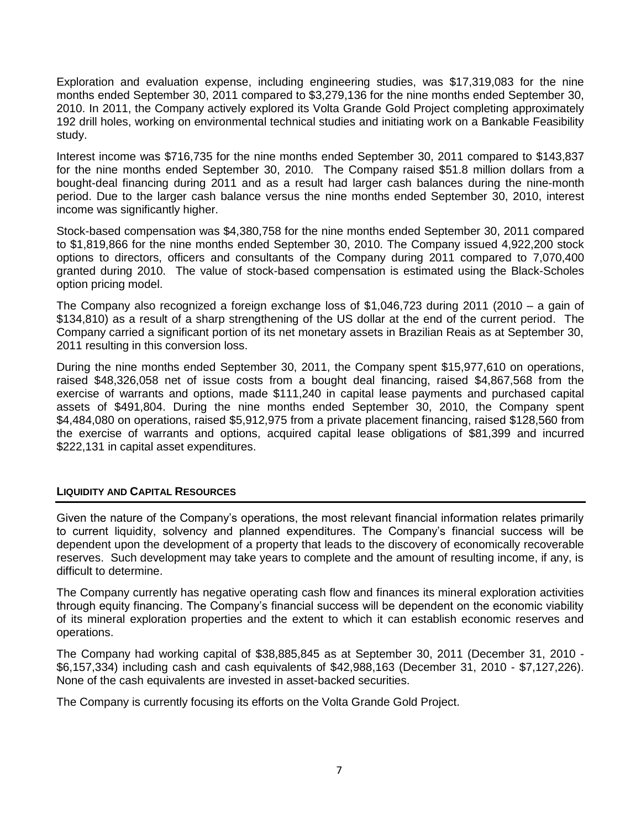Exploration and evaluation expense, including engineering studies, was \$17,319,083 for the nine months ended September 30, 2011 compared to \$3,279,136 for the nine months ended September 30, 2010. In 2011, the Company actively explored its Volta Grande Gold Project completing approximately 192 drill holes, working on environmental technical studies and initiating work on a Bankable Feasibility study.

Interest income was \$716,735 for the nine months ended September 30, 2011 compared to \$143,837 for the nine months ended September 30, 2010. The Company raised \$51.8 million dollars from a bought-deal financing during 2011 and as a result had larger cash balances during the nine-month period. Due to the larger cash balance versus the nine months ended September 30, 2010, interest income was significantly higher.

Stock-based compensation was \$4,380,758 for the nine months ended September 30, 2011 compared to \$1,819,866 for the nine months ended September 30, 2010. The Company issued 4,922,200 stock options to directors, officers and consultants of the Company during 2011 compared to 7,070,400 granted during 2010. The value of stock-based compensation is estimated using the Black-Scholes option pricing model.

The Company also recognized a foreign exchange loss of \$1,046,723 during 2011 (2010 – a gain of \$134,810) as a result of a sharp strengthening of the US dollar at the end of the current period. The Company carried a significant portion of its net monetary assets in Brazilian Reais as at September 30, 2011 resulting in this conversion loss.

During the nine months ended September 30, 2011, the Company spent \$15,977,610 on operations, raised \$48,326,058 net of issue costs from a bought deal financing, raised \$4,867,568 from the exercise of warrants and options, made \$111,240 in capital lease payments and purchased capital assets of \$491,804. During the nine months ended September 30, 2010, the Company spent \$4,484,080 on operations, raised \$5,912,975 from a private placement financing, raised \$128,560 from the exercise of warrants and options, acquired capital lease obligations of \$81,399 and incurred \$222,131 in capital asset expenditures.

### **LIQUIDITY AND CAPITAL RESOURCES**

Given the nature of the Company's operations, the most relevant financial information relates primarily to current liquidity, solvency and planned expenditures. The Company's financial success will be dependent upon the development of a property that leads to the discovery of economically recoverable reserves. Such development may take years to complete and the amount of resulting income, if any, is difficult to determine.

The Company currently has negative operating cash flow and finances its mineral exploration activities through equity financing. The Company's financial success will be dependent on the economic viability of its mineral exploration properties and the extent to which it can establish economic reserves and operations.

The Company had working capital of \$38,885,845 as at September 30, 2011 (December 31, 2010 - \$6,157,334) including cash and cash equivalents of \$42,988,163 (December 31, 2010 - \$7,127,226). None of the cash equivalents are invested in asset-backed securities.

The Company is currently focusing its efforts on the Volta Grande Gold Project.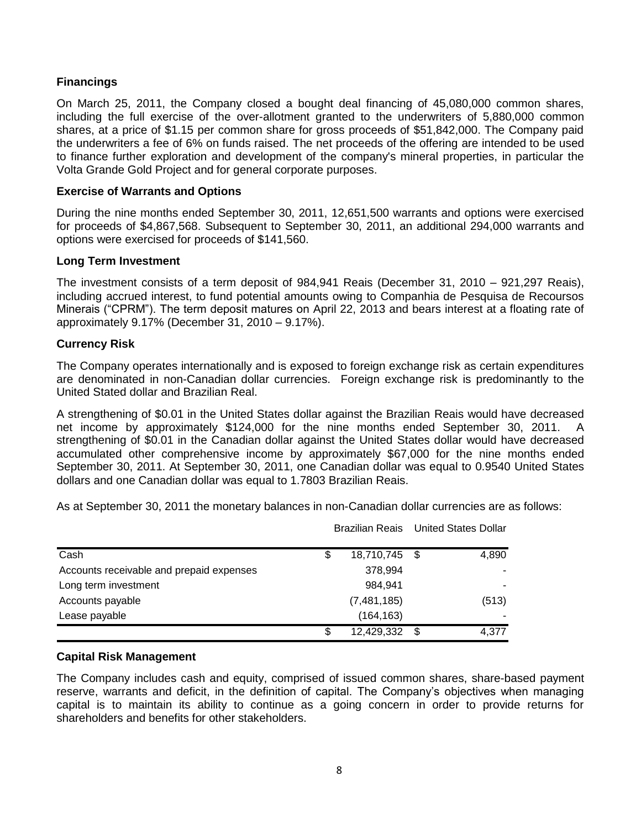## **Financings**

On March 25, 2011, the Company closed a bought deal financing of 45,080,000 common shares, including the full exercise of the over-allotment granted to the underwriters of 5,880,000 common shares, at a price of \$1.15 per common share for gross proceeds of \$51,842,000. The Company paid the underwriters a fee of 6% on funds raised. The net proceeds of the offering are intended to be used to finance further exploration and development of the company's mineral properties, in particular the Volta Grande Gold Project and for general corporate purposes.

### **Exercise of Warrants and Options**

During the nine months ended September 30, 2011, 12,651,500 warrants and options were exercised for proceeds of \$4,867,568. Subsequent to September 30, 2011, an additional 294,000 warrants and options were exercised for proceeds of \$141,560.

### **Long Term Investment**

The investment consists of a term deposit of 984,941 Reais (December 31, 2010 – 921,297 Reais), including accrued interest, to fund potential amounts owing to Companhia de Pesquisa de Recoursos Minerais ("CPRM"). The term deposit matures on April 22, 2013 and bears interest at a floating rate of approximately 9.17% (December 31, 2010 – 9.17%).

### **Currency Risk**

The Company operates internationally and is exposed to foreign exchange risk as certain expenditures are denominated in non-Canadian dollar currencies. Foreign exchange risk is predominantly to the United Stated dollar and Brazilian Real.

A strengthening of \$0.01 in the United States dollar against the Brazilian Reais would have decreased net income by approximately \$124,000 for the nine months ended September 30, 2011. strengthening of \$0.01 in the Canadian dollar against the United States dollar would have decreased accumulated other comprehensive income by approximately \$67,000 for the nine months ended September 30, 2011. At September 30, 2011, one Canadian dollar was equal to 0.9540 United States dollars and one Canadian dollar was equal to 1.7803 Brazilian Reais.

As at September 30, 2011 the monetary balances in non-Canadian dollar currencies are as follows:

|                                          |    | Brazilian Reais United States Dollar |   |       |
|------------------------------------------|----|--------------------------------------|---|-------|
| Cash                                     | \$ | 18,710,745 \$                        |   | 4,890 |
| Accounts receivable and prepaid expenses |    | 378,994                              |   |       |
| Long term investment                     |    | 984.941                              |   |       |
| Accounts payable                         |    | (7,481,185)                          |   | (513) |
| Lease payable                            |    | (164, 163)                           |   |       |
|                                          | S  | 12,429,332                           | S | 4.377 |

### **Capital Risk Management**

The Company includes cash and equity, comprised of issued common shares, share-based payment reserve, warrants and deficit, in the definition of capital. The Company's objectives when managing capital is to maintain its ability to continue as a going concern in order to provide returns for shareholders and benefits for other stakeholders.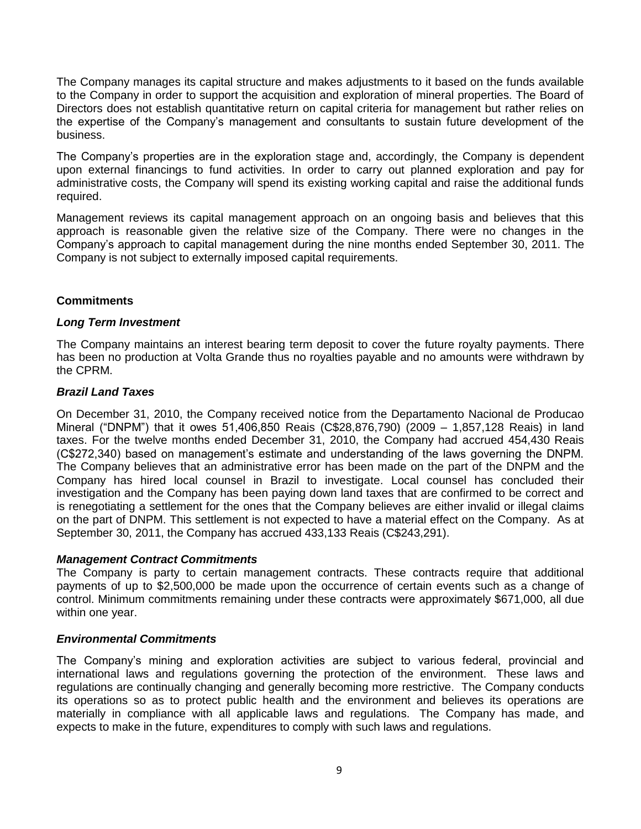The Company manages its capital structure and makes adjustments to it based on the funds available to the Company in order to support the acquisition and exploration of mineral properties. The Board of Directors does not establish quantitative return on capital criteria for management but rather relies on the expertise of the Company's management and consultants to sustain future development of the business.

The Company's properties are in the exploration stage and, accordingly, the Company is dependent upon external financings to fund activities. In order to carry out planned exploration and pay for administrative costs, the Company will spend its existing working capital and raise the additional funds required.

Management reviews its capital management approach on an ongoing basis and believes that this approach is reasonable given the relative size of the Company. There were no changes in the Company's approach to capital management during the nine months ended September 30, 2011. The Company is not subject to externally imposed capital requirements.

### **Commitments**

### *Long Term Investment*

The Company maintains an interest bearing term deposit to cover the future royalty payments. There has been no production at Volta Grande thus no royalties payable and no amounts were withdrawn by the CPRM.

### *Brazil Land Taxes*

On December 31, 2010, the Company received notice from the Departamento Nacional de Producao Mineral ("DNPM") that it owes 51,406,850 Reais (C\$28,876,790) (2009 – 1,857,128 Reais) in land taxes. For the twelve months ended December 31, 2010, the Company had accrued 454,430 Reais (C\$272,340) based on management's estimate and understanding of the laws governing the DNPM. The Company believes that an administrative error has been made on the part of the DNPM and the Company has hired local counsel in Brazil to investigate. Local counsel has concluded their investigation and the Company has been paying down land taxes that are confirmed to be correct and is renegotiating a settlement for the ones that the Company believes are either invalid or illegal claims on the part of DNPM. This settlement is not expected to have a material effect on the Company. As at September 30, 2011, the Company has accrued 433,133 Reais (C\$243,291).

### *Management Contract Commitments*

The Company is party to certain management contracts. These contracts require that additional payments of up to \$2,500,000 be made upon the occurrence of certain events such as a change of control. Minimum commitments remaining under these contracts were approximately \$671,000, all due within one year.

### *Environmental Commitments*

The Company's mining and exploration activities are subject to various federal, provincial and international laws and regulations governing the protection of the environment. These laws and regulations are continually changing and generally becoming more restrictive. The Company conducts its operations so as to protect public health and the environment and believes its operations are materially in compliance with all applicable laws and regulations. The Company has made, and expects to make in the future, expenditures to comply with such laws and regulations.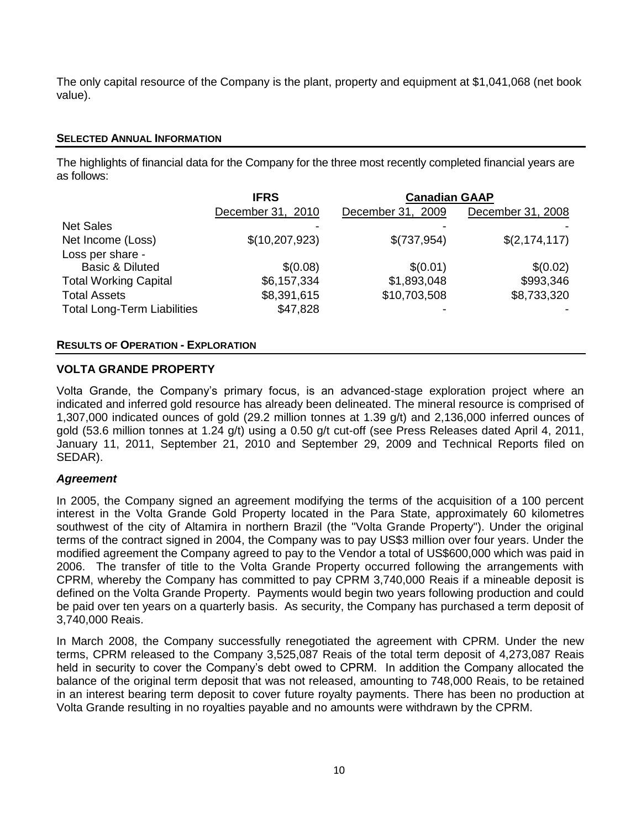The only capital resource of the Company is the plant, property and equipment at \$1,041,068 (net book value).

### **SELECTED ANNUAL INFORMATION**

The highlights of financial data for the Company for the three most recently completed financial years are as follows:

|                                    | <b>IFRS</b>       | <b>Canadian GAAP</b> |                   |
|------------------------------------|-------------------|----------------------|-------------------|
|                                    | December 31, 2010 | December 31, 2009    | December 31, 2008 |
| <b>Net Sales</b>                   |                   |                      |                   |
| Net Income (Loss)                  | \$(10, 207, 923)  | \$(737,954)          | \$(2,174,117)     |
| Loss per share -                   |                   |                      |                   |
| <b>Basic &amp; Diluted</b>         | \$(0.08)          | \$(0.01)             | \$(0.02)          |
| <b>Total Working Capital</b>       | \$6,157,334       | \$1,893,048          | \$993,346         |
| <b>Total Assets</b>                | \$8,391,615       | \$10,703,508         | \$8,733,320       |
| <b>Total Long-Term Liabilities</b> | \$47,828          |                      |                   |

### **RESULTS OF OPERATION - EXPLORATION**

### **VOLTA GRANDE PROPERTY**

Volta Grande, the Company's primary focus, is an advanced-stage exploration project where an indicated and inferred gold resource has already been delineated. The mineral resource is comprised of 1,307,000 indicated ounces of gold (29.2 million tonnes at 1.39 g/t) and 2,136,000 inferred ounces of gold (53.6 million tonnes at 1.24 g/t) using a 0.50 g/t cut-off (see Press Releases dated April 4, 2011, January 11, 2011, September 21, 2010 and September 29, 2009 and Technical Reports filed on SEDAR).

### *Agreement*

In 2005, the Company signed an agreement modifying the terms of the acquisition of a 100 percent interest in the Volta Grande Gold Property located in the Para State, approximately 60 kilometres southwest of the city of Altamira in northern Brazil (the "Volta Grande Property"). Under the original terms of the contract signed in 2004, the Company was to pay US\$3 million over four years. Under the modified agreement the Company agreed to pay to the Vendor a total of US\$600,000 which was paid in 2006. The transfer of title to the Volta Grande Property occurred following the arrangements with CPRM, whereby the Company has committed to pay CPRM 3,740,000 Reais if a mineable deposit is defined on the Volta Grande Property. Payments would begin two years following production and could be paid over ten years on a quarterly basis. As security, the Company has purchased a term deposit of 3,740,000 Reais.

In March 2008, the Company successfully renegotiated the agreement with CPRM. Under the new terms, CPRM released to the Company 3,525,087 Reais of the total term deposit of 4,273,087 Reais held in security to cover the Company's debt owed to CPRM. In addition the Company allocated the balance of the original term deposit that was not released, amounting to 748,000 Reais, to be retained in an interest bearing term deposit to cover future royalty payments. There has been no production at Volta Grande resulting in no royalties payable and no amounts were withdrawn by the CPRM.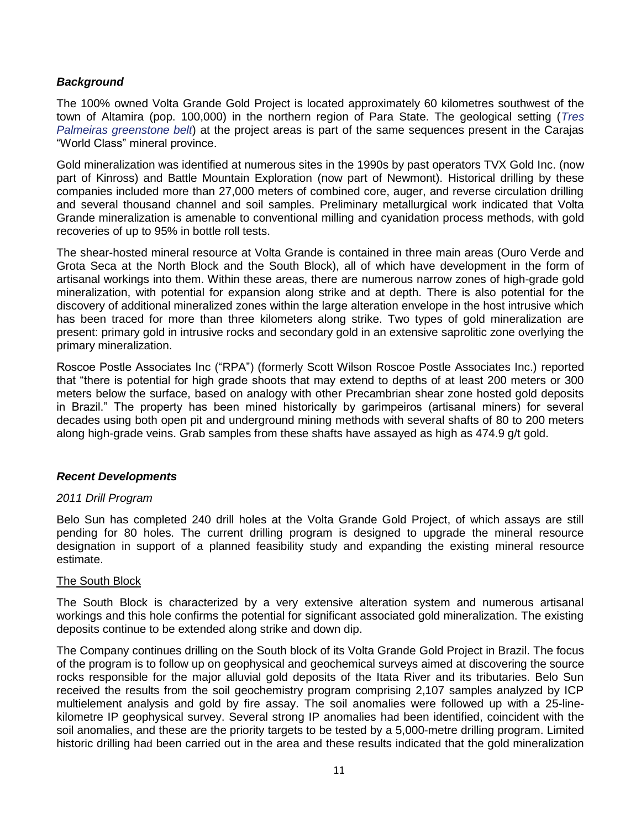### *Background*

The 100% owned Volta Grande Gold Project is located approximately 60 kilometres southwest of the town of Altamira (pop. 100,000) in the northern region of Para State. The geological setting (*Tres Palmeiras greenstone belt*) at the project areas is part of the same sequences present in the Carajas "World Class" mineral province.

Gold mineralization was identified at numerous sites in the 1990s by past operators TVX Gold Inc. (now part of Kinross) and Battle Mountain Exploration (now part of Newmont). Historical drilling by these companies included more than 27,000 meters of combined core, auger, and reverse circulation drilling and several thousand channel and soil samples. Preliminary metallurgical work indicated that Volta Grande mineralization is amenable to conventional milling and cyanidation process methods, with gold recoveries of up to 95% in bottle roll tests.

The shear-hosted mineral resource at Volta Grande is contained in three main areas (Ouro Verde and Grota Seca at the North Block and the South Block), all of which have development in the form of artisanal workings into them. Within these areas, there are numerous narrow zones of high-grade gold mineralization, with potential for expansion along strike and at depth. There is also potential for the discovery of additional mineralized zones within the large alteration envelope in the host intrusive which has been traced for more than three kilometers along strike. Two types of gold mineralization are present: primary gold in intrusive rocks and secondary gold in an extensive saprolitic zone overlying the primary mineralization.

Roscoe Postle Associates Inc ("RPA") (formerly Scott Wilson Roscoe Postle Associates Inc.) reported that "there is potential for high grade shoots that may extend to depths of at least 200 meters or 300 meters below the surface, based on analogy with other Precambrian shear zone hosted gold deposits in Brazil." The property has been mined historically by garimpeiros (artisanal miners) for several decades using both open pit and underground mining methods with several shafts of 80 to 200 meters along high-grade veins. Grab samples from these shafts have assayed as high as 474.9 g/t gold.

### *Recent Developments*

### *2011 Drill Program*

Belo Sun has completed 240 drill holes at the Volta Grande Gold Project, of which assays are still pending for 80 holes. The current drilling program is designed to upgrade the mineral resource designation in support of a planned feasibility study and expanding the existing mineral resource estimate.

### The South Block

The South Block is characterized by a very extensive alteration system and numerous artisanal workings and this hole confirms the potential for significant associated gold mineralization. The existing deposits continue to be extended along strike and down dip.

The Company continues drilling on the South block of its Volta Grande Gold Project in Brazil. The focus of the program is to follow up on geophysical and geochemical surveys aimed at discovering the source rocks responsible for the major alluvial gold deposits of the Itata River and its tributaries. Belo Sun received the results from the soil geochemistry program comprising 2,107 samples analyzed by ICP multielement analysis and gold by fire assay. The soil anomalies were followed up with a 25-linekilometre IP geophysical survey. Several strong IP anomalies had been identified, coincident with the soil anomalies, and these are the priority targets to be tested by a 5,000-metre drilling program. Limited historic drilling had been carried out in the area and these results indicated that the gold mineralization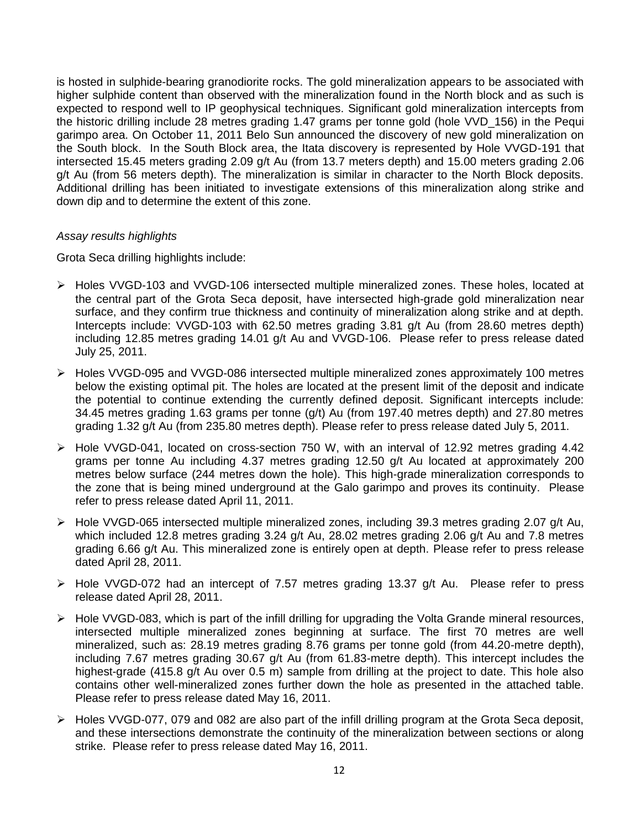is hosted in sulphide-bearing granodiorite rocks. The gold mineralization appears to be associated with higher sulphide content than observed with the mineralization found in the North block and as such is expected to respond well to IP geophysical techniques. Significant gold mineralization intercepts from the historic drilling include 28 metres grading 1.47 grams per tonne gold (hole VVD\_156) in the Pequi garimpo area. On October 11, 2011 Belo Sun announced the discovery of new gold mineralization on the South block. In the South Block area, the Itata discovery is represented by Hole VVGD-191 that intersected 15.45 meters grading 2.09 g/t Au (from 13.7 meters depth) and 15.00 meters grading 2.06 g/t Au (from 56 meters depth). The mineralization is similar in character to the North Block deposits. Additional drilling has been initiated to investigate extensions of this mineralization along strike and down dip and to determine the extent of this zone.

### *Assay results highlights*

Grota Seca drilling highlights include:

- Holes VVGD-103 and VVGD-106 intersected multiple mineralized zones. These holes, located at the central part of the Grota Seca deposit, have intersected high-grade gold mineralization near surface, and they confirm true thickness and continuity of mineralization along strike and at depth. Intercepts include: VVGD-103 with 62.50 metres grading 3.81 g/t Au (from 28.60 metres depth) including 12.85 metres grading 14.01 g/t Au and VVGD-106. Please refer to press release dated July 25, 2011.
- Holes VVGD-095 and VVGD-086 intersected multiple mineralized zones approximately 100 metres below the existing optimal pit. The holes are located at the present limit of the deposit and indicate the potential to continue extending the currently defined deposit. Significant intercepts include: 34.45 metres grading 1.63 grams per tonne (g/t) Au (from 197.40 metres depth) and 27.80 metres grading 1.32 g/t Au (from 235.80 metres depth). Please refer to press release dated July 5, 2011.
- Hole VVGD-041, located on cross-section 750 W, with an interval of 12.92 metres grading 4.42 grams per tonne Au including 4.37 metres grading 12.50 g/t Au located at approximately 200 metres below surface (244 metres down the hole). This high-grade mineralization corresponds to the zone that is being mined underground at the Galo garimpo and proves its continuity. Please refer to press release dated April 11, 2011.
- $\triangleright$  Hole VVGD-065 intersected multiple mineralized zones, including 39.3 metres grading 2.07 g/t Au, which included 12.8 metres grading 3.24 g/t Au, 28.02 metres grading 2.06 g/t Au and 7.8 metres grading 6.66 g/t Au. This mineralized zone is entirely open at depth. Please refer to press release dated April 28, 2011.
- $\triangleright$  Hole VVGD-072 had an intercept of 7.57 metres grading 13.37 g/t Au. Please refer to press release dated April 28, 2011.
- $\triangleright$  Hole VVGD-083, which is part of the infill drilling for upgrading the Volta Grande mineral resources, intersected multiple mineralized zones beginning at surface. The first 70 metres are well mineralized, such as: 28.19 metres grading 8.76 grams per tonne gold (from 44.20-metre depth), including 7.67 metres grading 30.67 g/t Au (from 61.83-metre depth). This intercept includes the highest-grade (415.8 g/t Au over 0.5 m) sample from drilling at the project to date. This hole also contains other well-mineralized zones further down the hole as presented in the attached table. Please refer to press release dated May 16, 2011.
- Holes VVGD-077, 079 and 082 are also part of the infill drilling program at the Grota Seca deposit, and these intersections demonstrate the continuity of the mineralization between sections or along strike. Please refer to press release dated May 16, 2011.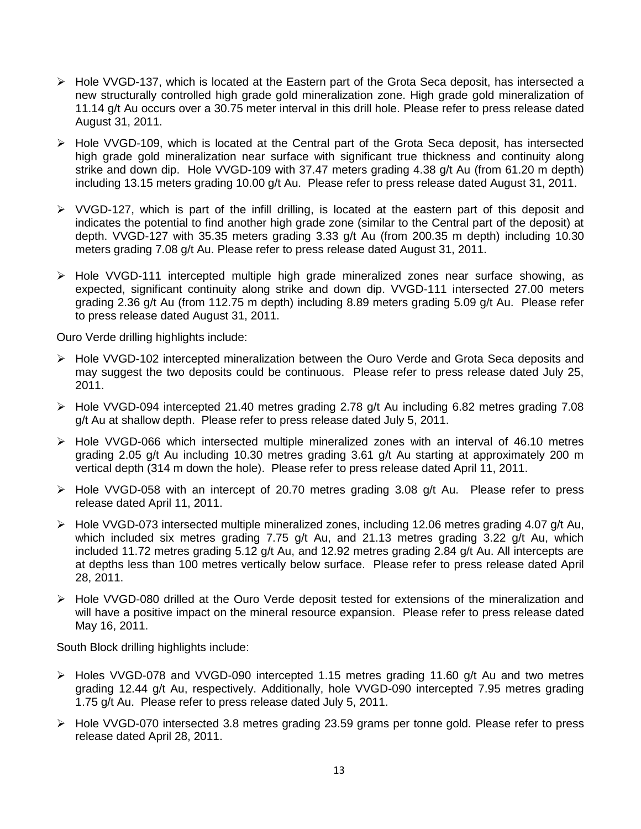- $\triangleright$  Hole VVGD-137, which is located at the Eastern part of the Grota Seca deposit, has intersected a new structurally controlled high grade gold mineralization zone. High grade gold mineralization of 11.14 g/t Au occurs over a 30.75 meter interval in this drill hole. Please refer to press release dated August 31, 2011.
- $\triangleright$  Hole VVGD-109, which is located at the Central part of the Grota Seca deposit, has intersected high grade gold mineralization near surface with significant true thickness and continuity along strike and down dip. Hole VVGD-109 with 37.47 meters grading 4.38 g/t Au (from 61.20 m depth) including 13.15 meters grading 10.00 g/t Au. Please refer to press release dated August 31, 2011.
- $\triangleright$  VVGD-127, which is part of the infill drilling, is located at the eastern part of this deposit and indicates the potential to find another high grade zone (similar to the Central part of the deposit) at depth. VVGD-127 with 35.35 meters grading 3.33 g/t Au (from 200.35 m depth) including 10.30 meters grading 7.08 g/t Au. Please refer to press release dated August 31, 2011.
- Hole VVGD-111 intercepted multiple high grade mineralized zones near surface showing, as expected, significant continuity along strike and down dip. VVGD-111 intersected 27.00 meters grading 2.36 g/t Au (from 112.75 m depth) including 8.89 meters grading 5.09 g/t Au. Please refer to press release dated August 31, 2011.

Ouro Verde drilling highlights include:

- Hole VVGD-102 intercepted mineralization between the Ouro Verde and Grota Seca deposits and may suggest the two deposits could be continuous. Please refer to press release dated July 25, 2011.
- Hole VVGD-094 intercepted 21.40 metres grading 2.78 g/t Au including 6.82 metres grading 7.08 g/t Au at shallow depth. Please refer to press release dated July 5, 2011.
- $\triangleright$  Hole VVGD-066 which intersected multiple mineralized zones with an interval of 46.10 metres grading 2.05 g/t Au including 10.30 metres grading 3.61 g/t Au starting at approximately 200 m vertical depth (314 m down the hole). Please refer to press release dated April 11, 2011.
- $\triangleright$  Hole VVGD-058 with an intercept of 20.70 metres grading 3.08 g/t Au. Please refer to press release dated April 11, 2011.
- Hole VVGD-073 intersected multiple mineralized zones, including 12.06 metres grading 4.07 g/t Au, which included six metres grading 7.75 g/t Au, and 21.13 metres grading 3.22 g/t Au, which included 11.72 metres grading 5.12 g/t Au, and 12.92 metres grading 2.84 g/t Au. All intercepts are at depths less than 100 metres vertically below surface. Please refer to press release dated April 28, 2011.
- Hole VVGD-080 drilled at the Ouro Verde deposit tested for extensions of the mineralization and will have a positive impact on the mineral resource expansion. Please refer to press release dated May 16, 2011.

South Block drilling highlights include:

- $\triangleright$  Holes VVGD-078 and VVGD-090 intercepted 1.15 metres grading 11.60 g/t Au and two metres grading 12.44 g/t Au, respectively. Additionally, hole VVGD-090 intercepted 7.95 metres grading 1.75 g/t Au. Please refer to press release dated July 5, 2011.
- Hole VVGD-070 intersected 3.8 metres grading 23.59 grams per tonne gold. Please refer to press release dated April 28, 2011.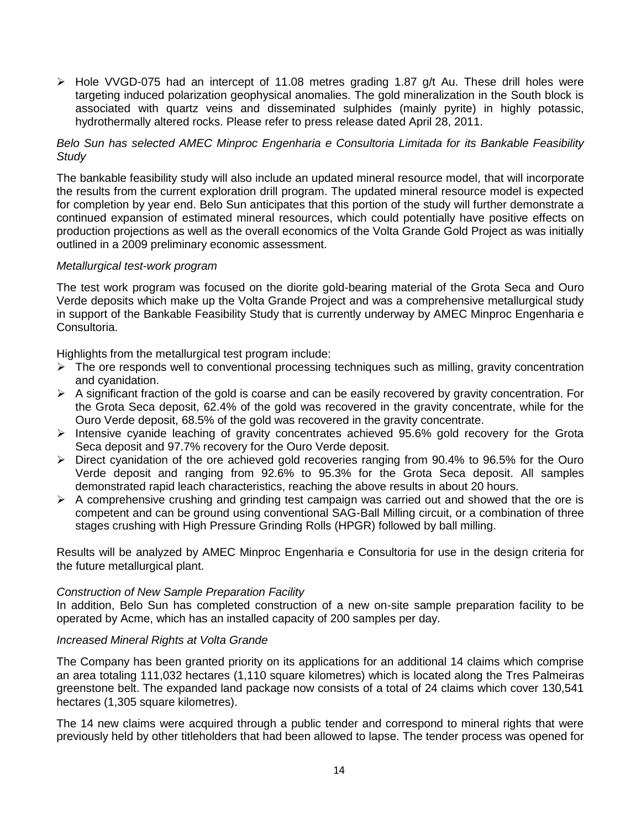> Hole VVGD-075 had an intercept of 11.08 metres grading 1.87 g/t Au. These drill holes were targeting induced polarization geophysical anomalies. The gold mineralization in the South block is associated with quartz veins and disseminated sulphides (mainly pyrite) in highly potassic, hydrothermally altered rocks. Please refer to press release dated April 28, 2011.

### *Belo Sun has selected AMEC Minproc Engenharia e Consultoria Limitada for its Bankable Feasibility Study*

The bankable feasibility study will also include an updated mineral resource model, that will incorporate the results from the current exploration drill program. The updated mineral resource model is expected for completion by year end. Belo Sun anticipates that this portion of the study will further demonstrate a continued expansion of estimated mineral resources, which could potentially have positive effects on production projections as well as the overall economics of the Volta Grande Gold Project as was initially outlined in a 2009 preliminary economic assessment.

### *Metallurgical test-work program*

The test work program was focused on the diorite gold-bearing material of the Grota Seca and Ouro Verde deposits which make up the Volta Grande Project and was a comprehensive metallurgical study in support of the Bankable Feasibility Study that is currently underway by AMEC Minproc Engenharia e Consultoria.

Highlights from the metallurgical test program include:

- $\triangleright$  The ore responds well to conventional processing techniques such as milling, gravity concentration and cyanidation.
- $\triangleright$  A significant fraction of the gold is coarse and can be easily recovered by gravity concentration. For the Grota Seca deposit, 62.4% of the gold was recovered in the gravity concentrate, while for the Ouro Verde deposit, 68.5% of the gold was recovered in the gravity concentrate.
- $\ge$  Intensive cyanide leaching of gravity concentrates achieved 95.6% gold recovery for the Grota Seca deposit and 97.7% recovery for the Ouro Verde deposit.
- Direct cyanidation of the ore achieved gold recoveries ranging from 90.4% to 96.5% for the Ouro Verde deposit and ranging from 92.6% to 95.3% for the Grota Seca deposit. All samples demonstrated rapid leach characteristics, reaching the above results in about 20 hours.
- $\triangleright$  A comprehensive crushing and grinding test campaign was carried out and showed that the ore is competent and can be ground using conventional SAG-Ball Milling circuit, or a combination of three stages crushing with High Pressure Grinding Rolls (HPGR) followed by ball milling.

Results will be analyzed by AMEC Minproc Engenharia e Consultoria for use in the design criteria for the future metallurgical plant.

### *Construction of New Sample Preparation Facility*

In addition, Belo Sun has completed construction of a new on-site sample preparation facility to be operated by Acme, which has an installed capacity of 200 samples per day.

### *Increased Mineral Rights at Volta Grande*

The Company has been granted priority on its applications for an additional 14 claims which comprise an area totaling 111,032 hectares (1,110 square kilometres) which is located along the Tres Palmeiras greenstone belt. The expanded land package now consists of a total of 24 claims which cover 130,541 hectares (1,305 square kilometres).

The 14 new claims were acquired through a public tender and correspond to mineral rights that were previously held by other titleholders that had been allowed to lapse. The tender process was opened for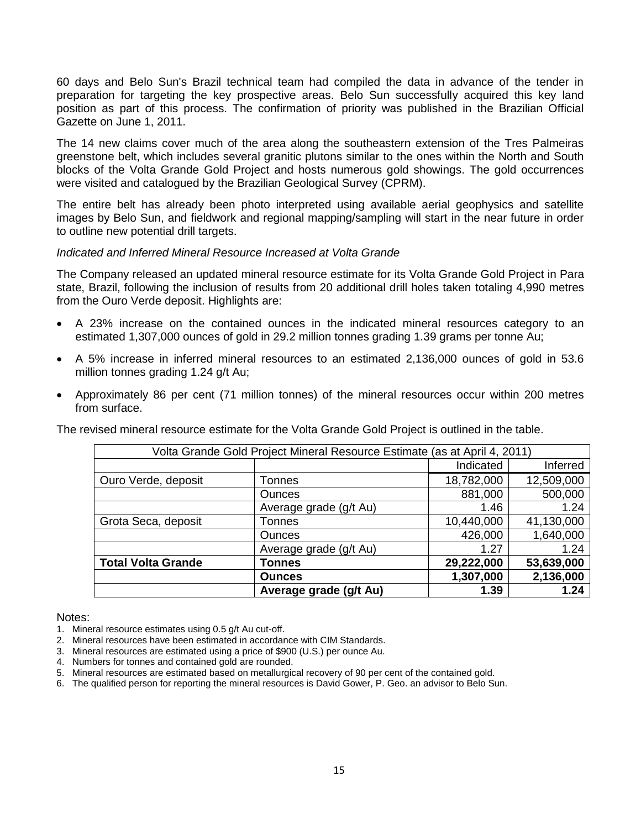60 days and Belo Sun's Brazil technical team had compiled the data in advance of the tender in preparation for targeting the key prospective areas. Belo Sun successfully acquired this key land position as part of this process. The confirmation of priority was published in the Brazilian Official Gazette on June 1, 2011.

The 14 new claims cover much of the area along the southeastern extension of the Tres Palmeiras greenstone belt, which includes several granitic plutons similar to the ones within the North and South blocks of the Volta Grande Gold Project and hosts numerous gold showings. The gold occurrences were visited and catalogued by the Brazilian Geological Survey (CPRM).

The entire belt has already been photo interpreted using available aerial geophysics and satellite images by Belo Sun, and fieldwork and regional mapping/sampling will start in the near future in order to outline new potential drill targets.

### *Indicated and Inferred Mineral Resource Increased at Volta Grande*

The Company released an updated mineral resource estimate for its Volta Grande Gold Project in Para state, Brazil, following the inclusion of results from 20 additional drill holes taken totaling 4,990 metres from the Ouro Verde deposit. Highlights are:

- A 23% increase on the contained ounces in the indicated mineral resources category to an estimated 1,307,000 ounces of gold in 29.2 million tonnes grading 1.39 grams per tonne Au;
- A 5% increase in inferred mineral resources to an estimated 2,136,000 ounces of gold in 53.6 million tonnes grading 1.24 g/t Au;
- Approximately 86 per cent (71 million tonnes) of the mineral resources occur within 200 metres from surface.

The revised mineral resource estimate for the Volta Grande Gold Project is outlined in the table.

| Volta Grande Gold Project Mineral Resource Estimate (as at April 4, 2011) |                        |            |            |  |  |  |  |  |
|---------------------------------------------------------------------------|------------------------|------------|------------|--|--|--|--|--|
|                                                                           |                        | Indicated  | Inferred   |  |  |  |  |  |
| Ouro Verde, deposit                                                       | Tonnes                 | 18,782,000 | 12,509,000 |  |  |  |  |  |
|                                                                           | <b>Ounces</b>          | 881,000    | 500,000    |  |  |  |  |  |
|                                                                           | Average grade (g/t Au) | 1.46       | 1.24       |  |  |  |  |  |
| Grota Seca, deposit                                                       | Tonnes                 | 10,440,000 | 41,130,000 |  |  |  |  |  |
|                                                                           | <b>Ounces</b>          | 426,000    | 1,640,000  |  |  |  |  |  |
|                                                                           | Average grade (g/t Au) | 1.27       | 1.24       |  |  |  |  |  |
| <b>Total Volta Grande</b>                                                 | Tonnes                 | 29,222,000 | 53,639,000 |  |  |  |  |  |
|                                                                           | <b>Ounces</b>          | 1,307,000  | 2,136,000  |  |  |  |  |  |
|                                                                           | Average grade (g/t Au) | 1.39       | 1.24       |  |  |  |  |  |

#### Notes:

- 1. Mineral resource estimates using 0.5 g/t Au cut-off.
- 2. Mineral resources have been estimated in accordance with CIM Standards.
- 3. Mineral resources are estimated using a price of \$900 (U.S.) per ounce Au.
- 4. Numbers for tonnes and contained gold are rounded.
- 5. Mineral resources are estimated based on metallurgical recovery of 90 per cent of the contained gold.
- 6. The qualified person for reporting the mineral resources is David Gower, P. Geo. an advisor to Belo Sun.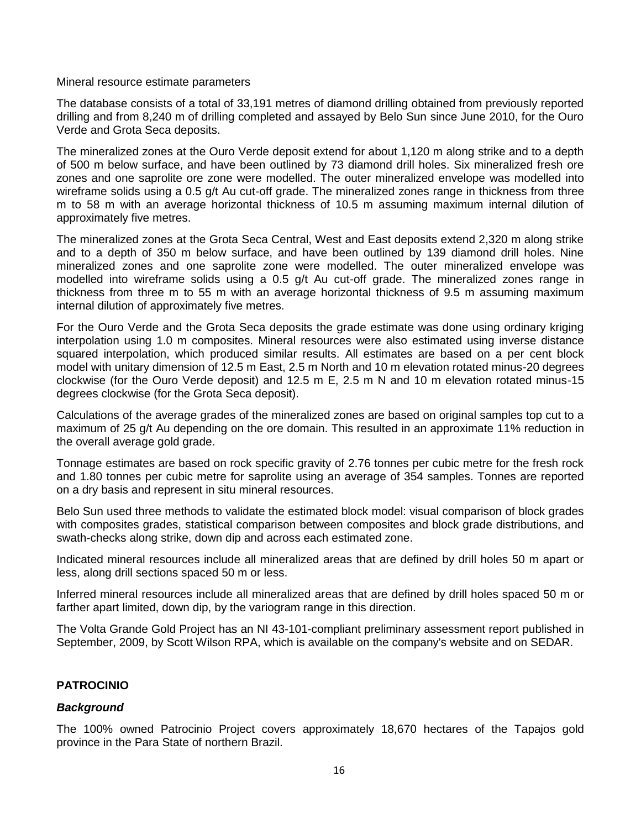Mineral resource estimate parameters

The database consists of a total of 33,191 metres of diamond drilling obtained from previously reported drilling and from 8,240 m of drilling completed and assayed by Belo Sun since June 2010, for the Ouro Verde and Grota Seca deposits.

The mineralized zones at the Ouro Verde deposit extend for about 1,120 m along strike and to a depth of 500 m below surface, and have been outlined by 73 diamond drill holes. Six mineralized fresh ore zones and one saprolite ore zone were modelled. The outer mineralized envelope was modelled into wireframe solids using a 0.5 g/t Au cut-off grade. The mineralized zones range in thickness from three m to 58 m with an average horizontal thickness of 10.5 m assuming maximum internal dilution of approximately five metres.

The mineralized zones at the Grota Seca Central, West and East deposits extend 2,320 m along strike and to a depth of 350 m below surface, and have been outlined by 139 diamond drill holes. Nine mineralized zones and one saprolite zone were modelled. The outer mineralized envelope was modelled into wireframe solids using a 0.5 g/t Au cut-off grade. The mineralized zones range in thickness from three m to 55 m with an average horizontal thickness of 9.5 m assuming maximum internal dilution of approximately five metres.

For the Ouro Verde and the Grota Seca deposits the grade estimate was done using ordinary kriging interpolation using 1.0 m composites. Mineral resources were also estimated using inverse distance squared interpolation, which produced similar results. All estimates are based on a per cent block model with unitary dimension of 12.5 m East, 2.5 m North and 10 m elevation rotated minus-20 degrees clockwise (for the Ouro Verde deposit) and 12.5 m E, 2.5 m N and 10 m elevation rotated minus-15 degrees clockwise (for the Grota Seca deposit).

Calculations of the average grades of the mineralized zones are based on original samples top cut to a maximum of 25 g/t Au depending on the ore domain. This resulted in an approximate 11% reduction in the overall average gold grade.

Tonnage estimates are based on rock specific gravity of 2.76 tonnes per cubic metre for the fresh rock and 1.80 tonnes per cubic metre for saprolite using an average of 354 samples. Tonnes are reported on a dry basis and represent in situ mineral resources.

Belo Sun used three methods to validate the estimated block model: visual comparison of block grades with composites grades, statistical comparison between composites and block grade distributions, and swath-checks along strike, down dip and across each estimated zone.

Indicated mineral resources include all mineralized areas that are defined by drill holes 50 m apart or less, along drill sections spaced 50 m or less.

Inferred mineral resources include all mineralized areas that are defined by drill holes spaced 50 m or farther apart limited, down dip, by the variogram range in this direction.

The Volta Grande Gold Project has an NI 43-101-compliant preliminary assessment report published in September, 2009, by Scott Wilson RPA, which is available on the company's website and on SEDAR.

### **PATROCINIO**

### *Background*

The 100% owned Patrocinio Project covers approximately 18,670 hectares of the Tapajos gold province in the Para State of northern Brazil.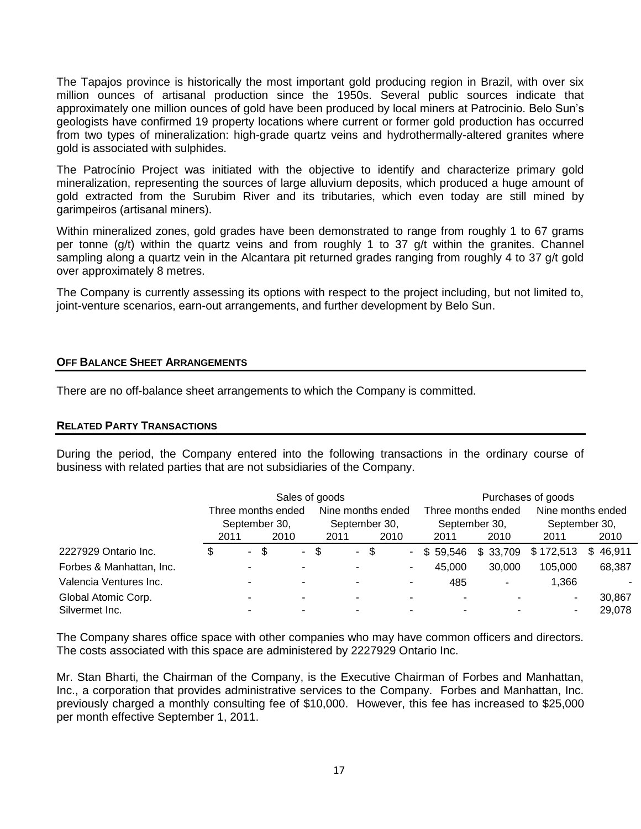The Tapajos province is historically the most important gold producing region in Brazil, with over six million ounces of artisanal production since the 1950s. Several public sources indicate that approximately one million ounces of gold have been produced by local miners at Patrocinio. Belo Sun's geologists have confirmed 19 property locations where current or former gold production has occurred from two types of mineralization: high-grade quartz veins and hydrothermally-altered granites where gold is associated with sulphides.

The Patrocínio Project was initiated with the objective to identify and characterize primary gold mineralization, representing the sources of large alluvium deposits, which produced a huge amount of gold extracted from the Surubim River and its tributaries, which even today are still mined by garimpeiros (artisanal miners).

Within mineralized zones, gold grades have been demonstrated to range from roughly 1 to 67 grams per tonne (g/t) within the quartz veins and from roughly 1 to 37 g/t within the granites. Channel sampling along a quartz vein in the Alcantara pit returned grades ranging from roughly 4 to 37 g/t gold over approximately 8 metres.

The Company is currently assessing its options with respect to the project including, but not limited to, joint-venture scenarios, earn-out arrangements, and further development by Belo Sun.

### **OFF BALANCE SHEET ARRANGEMENTS**

There are no off-balance sheet arrangements to which the Company is committed.

### **RELATED PARTY TRANSACTIONS**

During the period, the Company entered into the following transactions in the ordinary course of business with related parties that are not subsidiaries of the Company.

|                          | Sales of goods     |               |    |                 |    |                          |      | Purchases of goods       |               |                    |                   |              |
|--------------------------|--------------------|---------------|----|-----------------|----|--------------------------|------|--------------------------|---------------|--------------------|-------------------|--------------|
|                          | Three months ended |               |    |                 |    | Nine months ended        |      |                          |               | Three months ended | Nine months ended |              |
|                          |                    | September 30, |    | September 30,   |    |                          |      | September 30,            | September 30, |                    |                   |              |
|                          | 2011               |               |    | 2010            |    | 2011                     |      | 2010                     | 2011          | 2010               | 2011              | 2010         |
| 2227929 Ontario Inc.     | \$                 | $\sim$        | \$ | $\sim 10^{-10}$ | \$ |                          | - \$ |                          | \$59.546      | \$33,709           | \$172,513         | \$<br>46,911 |
| Forbes & Manhattan, Inc. |                    |               |    |                 |    |                          |      | $\overline{\phantom{a}}$ | 45,000        | 30,000             | 105,000           | 68,387       |
| Valencia Ventures Inc.   |                    |               |    | -               |    | $\overline{\phantom{a}}$ |      | $\overline{\phantom{a}}$ | 485           | ۰                  | 1,366             |              |
| Global Atomic Corp.      |                    |               |    |                 |    |                          |      |                          |               |                    |                   | 30.867       |
| Silvermet Inc.           |                    |               |    |                 |    |                          |      |                          |               |                    |                   | 29,078       |

The Company shares office space with other companies who may have common officers and directors. The costs associated with this space are administered by 2227929 Ontario Inc.

Mr. Stan Bharti, the Chairman of the Company, is the Executive Chairman of Forbes and Manhattan, Inc., a corporation that provides administrative services to the Company. Forbes and Manhattan, Inc. previously charged a monthly consulting fee of \$10,000. However, this fee has increased to \$25,000 per month effective September 1, 2011.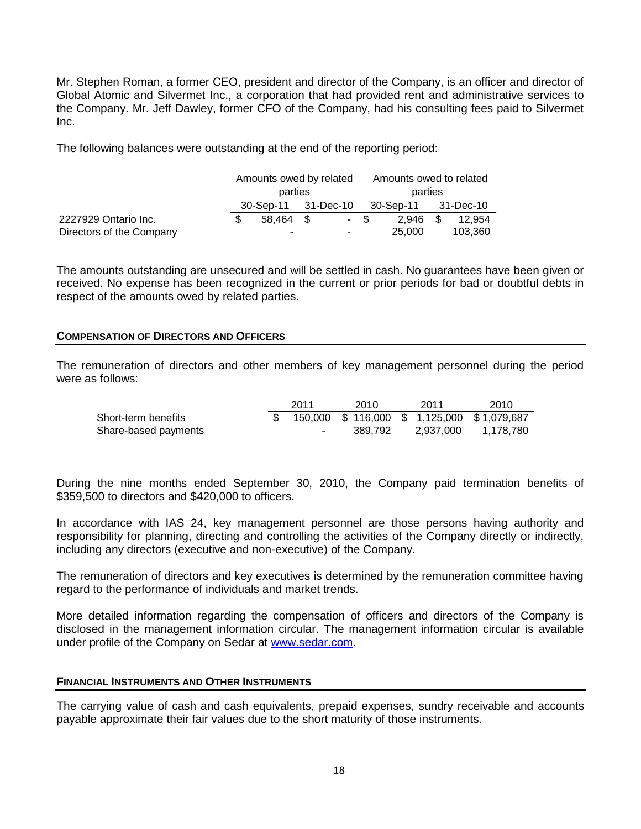Mr. Stephen Roman, a former CEO, president and director of the Company, is an officer and director of Global Atomic and Silvermet Inc., a corporation that had provided rent and administrative services to the Company. Mr. Jeff Dawley, former CFO of the Company, had his consulting fees paid to Silvermet Inc.

The following balances were outstanding at the end of the reporting period:

|                          |                     | Amounts owed by related |  | Amounts owed to related |  |                     |  |         |  |
|--------------------------|---------------------|-------------------------|--|-------------------------|--|---------------------|--|---------|--|
|                          | parties             |                         |  |                         |  | parties             |  |         |  |
|                          | 30-Sep-11 31-Dec-10 |                         |  |                         |  | 30-Sep-11 31-Dec-10 |  |         |  |
| 2227929 Ontario Inc.     |                     | 58.464 \$               |  | - \$                    |  | $2.946$ \$          |  | 12.954  |  |
| Directors of the Company |                     |                         |  | ٠                       |  | 25,000              |  | 103.360 |  |

The amounts outstanding are unsecured and will be settled in cash. No guarantees have been given or received. No expense has been recognized in the current or prior periods for bad or doubtful debts in respect of the amounts owed by related parties.

### **COMPENSATION OF DIRECTORS AND OFFICERS**

The remuneration of directors and other members of key management personnel during the period were as follows:

|                      | 2011 | 2010    | 2011      | 2010                                                               |
|----------------------|------|---------|-----------|--------------------------------------------------------------------|
| Short-term benefits  |      |         |           | $\overline{\$}$ 150,000 $\$$ 116,000 $\$$ 1,125,000 $\$$ 1,079,687 |
| Share-based payments |      | 389.792 | 2.937.000 | 1.178.780                                                          |

During the nine months ended September 30, 2010, the Company paid termination benefits of \$359,500 to directors and \$420,000 to officers.

In accordance with IAS 24, key management personnel are those persons having authority and responsibility for planning, directing and controlling the activities of the Company directly or indirectly, including any directors (executive and non-executive) of the Company.

The remuneration of directors and key executives is determined by the remuneration committee having regard to the performance of individuals and market trends.

More detailed information regarding the compensation of officers and directors of the Company is disclosed in the management information circular. The management information circular is available under profile of the Company on Sedar at [www.sedar.com.](http://www.sedar.com/)

### **FINANCIAL INSTRUMENTS AND OTHER INSTRUMENTS**

The carrying value of cash and cash equivalents, prepaid expenses, sundry receivable and accounts payable approximate their fair values due to the short maturity of those instruments.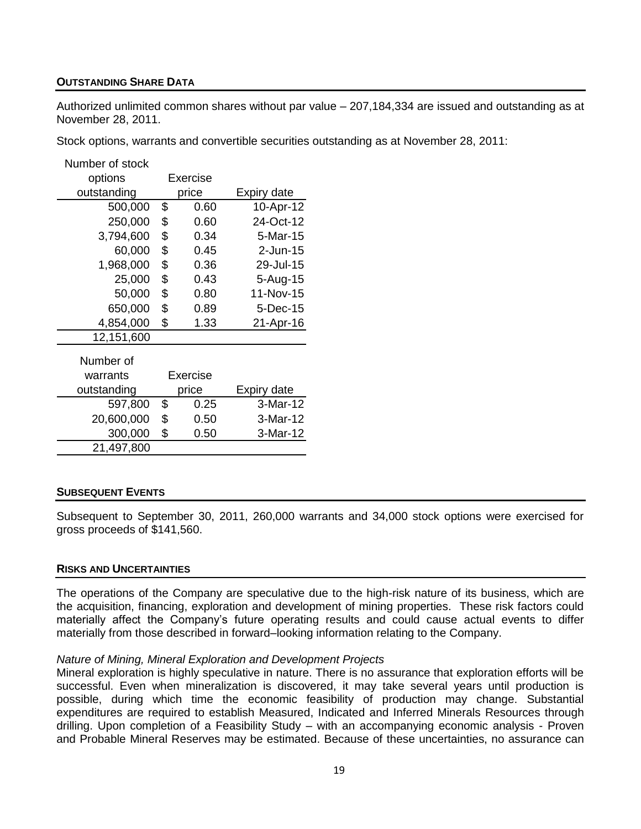### **OUTSTANDING SHARE DATA**

Authorized unlimited common shares without par value – 207,184,334 are issued and outstanding as at November 28, 2011.

Stock options, warrants and convertible securities outstanding as at November 28, 2011:

| Number of stock |                 |                    |
|-----------------|-----------------|--------------------|
| options         | Exercise        |                    |
| outstanding     | price           | Expiry date        |
| 500,000         | \$<br>0.60      | 10-Apr-12          |
| 250,000         | \$<br>0.60      | 24-Oct-12          |
| 3,794,600       | \$<br>0.34      | 5-Mar-15           |
| 60,000          | \$<br>0.45      | 2-Jun-15           |
| 1,968,000       | \$<br>0.36      | 29-Jul-15          |
| 25,000          | \$<br>0.43      | 5-Aug-15           |
| 50,000          | \$<br>0.80      | 11-Nov-15          |
| 650,000         | \$<br>0.89      | 5-Dec-15           |
| 4,854,000       | \$<br>1.33      | 21-Apr-16          |
| 12,151,600      |                 |                    |
| Number of       |                 |                    |
| warrants        | <b>Exercise</b> |                    |
| outstanding     | price           | <b>Expiry date</b> |
| 597,800         | \$<br>0.25      | 3-Mar-12           |
| 20,600,000      | \$<br>0.50      | 3-Mar-12           |
| 300,000         | \$<br>0.50      | 3-Mar-12           |
| 21,497,800      |                 |                    |

### **SUBSEQUENT EVENTS**

Subsequent to September 30, 2011, 260,000 warrants and 34,000 stock options were exercised for gross proceeds of \$141,560.

### **RISKS AND UNCERTAINTIES**

The operations of the Company are speculative due to the high-risk nature of its business, which are the acquisition, financing, exploration and development of mining properties. These risk factors could materially affect the Company's future operating results and could cause actual events to differ materially from those described in forward–looking information relating to the Company.

### *Nature of Mining, Mineral Exploration and Development Projects*

Mineral exploration is highly speculative in nature. There is no assurance that exploration efforts will be successful. Even when mineralization is discovered, it may take several years until production is possible, during which time the economic feasibility of production may change. Substantial expenditures are required to establish Measured, Indicated and Inferred Minerals Resources through drilling. Upon completion of a Feasibility Study – with an accompanying economic analysis - Proven and Probable Mineral Reserves may be estimated. Because of these uncertainties, no assurance can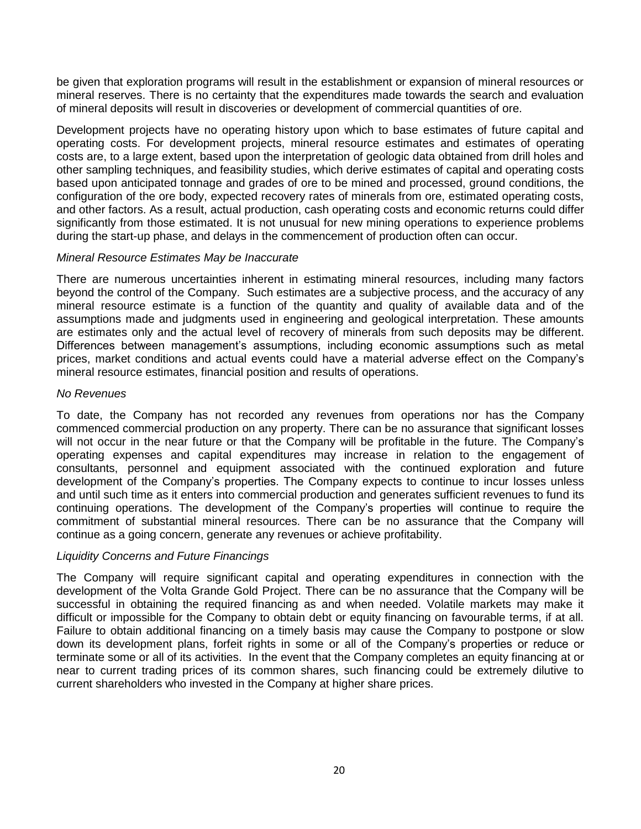be given that exploration programs will result in the establishment or expansion of mineral resources or mineral reserves. There is no certainty that the expenditures made towards the search and evaluation of mineral deposits will result in discoveries or development of commercial quantities of ore.

Development projects have no operating history upon which to base estimates of future capital and operating costs. For development projects, mineral resource estimates and estimates of operating costs are, to a large extent, based upon the interpretation of geologic data obtained from drill holes and other sampling techniques, and feasibility studies, which derive estimates of capital and operating costs based upon anticipated tonnage and grades of ore to be mined and processed, ground conditions, the configuration of the ore body, expected recovery rates of minerals from ore, estimated operating costs, and other factors. As a result, actual production, cash operating costs and economic returns could differ significantly from those estimated. It is not unusual for new mining operations to experience problems during the start-up phase, and delays in the commencement of production often can occur.

### *Mineral Resource Estimates May be Inaccurate*

There are numerous uncertainties inherent in estimating mineral resources, including many factors beyond the control of the Company. Such estimates are a subjective process, and the accuracy of any mineral resource estimate is a function of the quantity and quality of available data and of the assumptions made and judgments used in engineering and geological interpretation. These amounts are estimates only and the actual level of recovery of minerals from such deposits may be different. Differences between management's assumptions, including economic assumptions such as metal prices, market conditions and actual events could have a material adverse effect on the Company's mineral resource estimates, financial position and results of operations.

### *No Revenues*

To date, the Company has not recorded any revenues from operations nor has the Company commenced commercial production on any property. There can be no assurance that significant losses will not occur in the near future or that the Company will be profitable in the future. The Company's operating expenses and capital expenditures may increase in relation to the engagement of consultants, personnel and equipment associated with the continued exploration and future development of the Company's properties. The Company expects to continue to incur losses unless and until such time as it enters into commercial production and generates sufficient revenues to fund its continuing operations. The development of the Company's properties will continue to require the commitment of substantial mineral resources. There can be no assurance that the Company will continue as a going concern, generate any revenues or achieve profitability.

### *Liquidity Concerns and Future Financings*

The Company will require significant capital and operating expenditures in connection with the development of the Volta Grande Gold Project. There can be no assurance that the Company will be successful in obtaining the required financing as and when needed. Volatile markets may make it difficult or impossible for the Company to obtain debt or equity financing on favourable terms, if at all. Failure to obtain additional financing on a timely basis may cause the Company to postpone or slow down its development plans, forfeit rights in some or all of the Company's properties or reduce or terminate some or all of its activities. In the event that the Company completes an equity financing at or near to current trading prices of its common shares, such financing could be extremely dilutive to current shareholders who invested in the Company at higher share prices.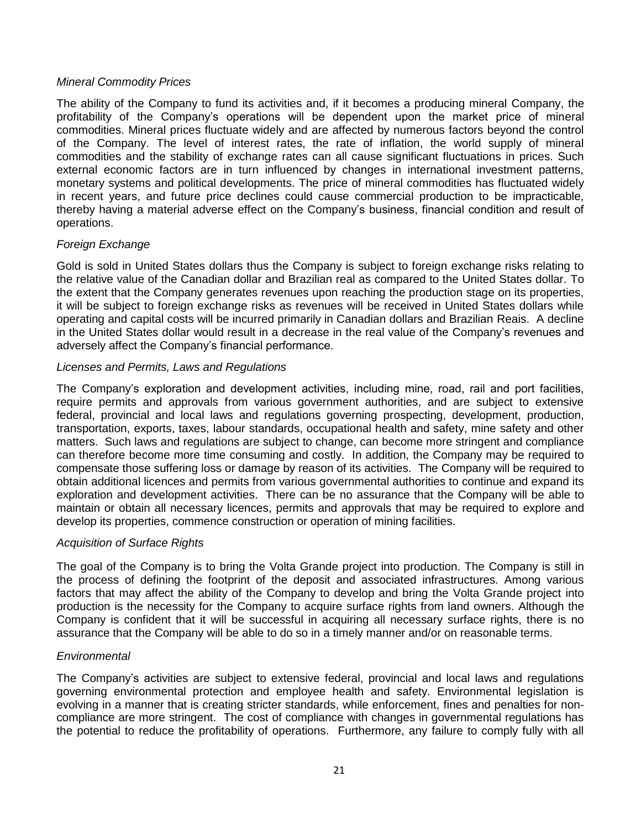### *Mineral Commodity Prices*

The ability of the Company to fund its activities and, if it becomes a producing mineral Company, the profitability of the Company's operations will be dependent upon the market price of mineral commodities. Mineral prices fluctuate widely and are affected by numerous factors beyond the control of the Company. The level of interest rates, the rate of inflation, the world supply of mineral commodities and the stability of exchange rates can all cause significant fluctuations in prices. Such external economic factors are in turn influenced by changes in international investment patterns, monetary systems and political developments. The price of mineral commodities has fluctuated widely in recent years, and future price declines could cause commercial production to be impracticable, thereby having a material adverse effect on the Company's business, financial condition and result of operations.

### *Foreign Exchange*

Gold is sold in United States dollars thus the Company is subject to foreign exchange risks relating to the relative value of the Canadian dollar and Brazilian real as compared to the United States dollar. To the extent that the Company generates revenues upon reaching the production stage on its properties, it will be subject to foreign exchange risks as revenues will be received in United States dollars while operating and capital costs will be incurred primarily in Canadian dollars and Brazilian Reais. A decline in the United States dollar would result in a decrease in the real value of the Company's revenues and adversely affect the Company's financial performance.

### *Licenses and Permits, Laws and Regulations*

The Company's exploration and development activities, including mine, road, rail and port facilities, require permits and approvals from various government authorities, and are subject to extensive federal, provincial and local laws and regulations governing prospecting, development, production, transportation, exports, taxes, labour standards, occupational health and safety, mine safety and other matters. Such laws and regulations are subject to change, can become more stringent and compliance can therefore become more time consuming and costly. In addition, the Company may be required to compensate those suffering loss or damage by reason of its activities. The Company will be required to obtain additional licences and permits from various governmental authorities to continue and expand its exploration and development activities. There can be no assurance that the Company will be able to maintain or obtain all necessary licences, permits and approvals that may be required to explore and develop its properties, commence construction or operation of mining facilities.

### *Acquisition of Surface Rights*

The goal of the Company is to bring the Volta Grande project into production. The Company is still in the process of defining the footprint of the deposit and associated infrastructures. Among various factors that may affect the ability of the Company to develop and bring the Volta Grande project into production is the necessity for the Company to acquire surface rights from land owners. Although the Company is confident that it will be successful in acquiring all necessary surface rights, there is no assurance that the Company will be able to do so in a timely manner and/or on reasonable terms.

### *Environmental*

The Company's activities are subject to extensive federal, provincial and local laws and regulations governing environmental protection and employee health and safety. Environmental legislation is evolving in a manner that is creating stricter standards, while enforcement, fines and penalties for noncompliance are more stringent. The cost of compliance with changes in governmental regulations has the potential to reduce the profitability of operations. Furthermore, any failure to comply fully with all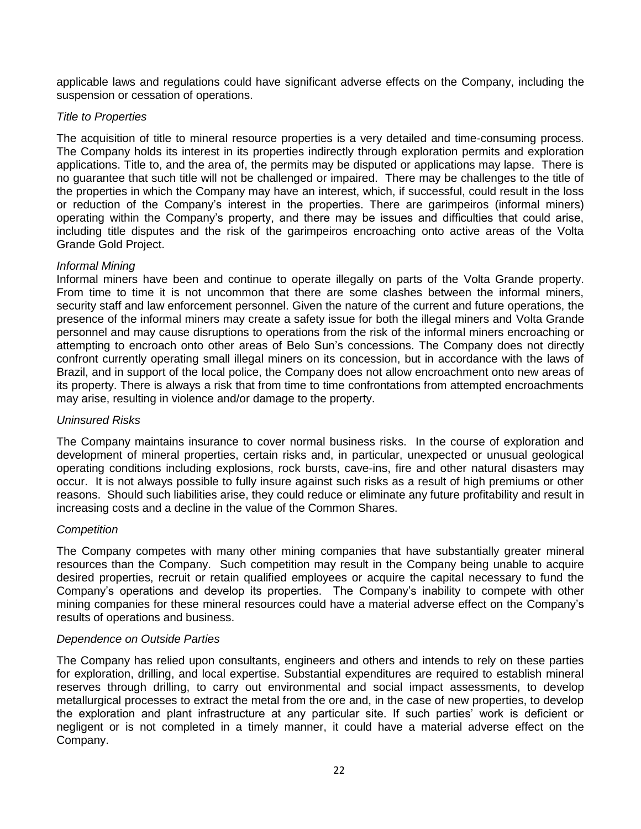applicable laws and regulations could have significant adverse effects on the Company, including the suspension or cessation of operations.

### *Title to Properties*

The acquisition of title to mineral resource properties is a very detailed and time-consuming process. The Company holds its interest in its properties indirectly through exploration permits and exploration applications. Title to, and the area of, the permits may be disputed or applications may lapse. There is no guarantee that such title will not be challenged or impaired. There may be challenges to the title of the properties in which the Company may have an interest, which, if successful, could result in the loss or reduction of the Company's interest in the properties. There are garimpeiros (informal miners) operating within the Company's property, and there may be issues and difficulties that could arise, including title disputes and the risk of the garimpeiros encroaching onto active areas of the Volta Grande Gold Project.

### *Informal Mining*

Informal miners have been and continue to operate illegally on parts of the Volta Grande property. From time to time it is not uncommon that there are some clashes between the informal miners, security staff and law enforcement personnel. Given the nature of the current and future operations, the presence of the informal miners may create a safety issue for both the illegal miners and Volta Grande personnel and may cause disruptions to operations from the risk of the informal miners encroaching or attempting to encroach onto other areas of Belo Sun's concessions. The Company does not directly confront currently operating small illegal miners on its concession, but in accordance with the laws of Brazil, and in support of the local police, the Company does not allow encroachment onto new areas of its property. There is always a risk that from time to time confrontations from attempted encroachments may arise, resulting in violence and/or damage to the property.

### *Uninsured Risks*

The Company maintains insurance to cover normal business risks. In the course of exploration and development of mineral properties, certain risks and, in particular, unexpected or unusual geological operating conditions including explosions, rock bursts, cave-ins, fire and other natural disasters may occur. It is not always possible to fully insure against such risks as a result of high premiums or other reasons. Should such liabilities arise, they could reduce or eliminate any future profitability and result in increasing costs and a decline in the value of the Common Shares.

### *Competition*

The Company competes with many other mining companies that have substantially greater mineral resources than the Company. Such competition may result in the Company being unable to acquire desired properties, recruit or retain qualified employees or acquire the capital necessary to fund the Company's operations and develop its properties. The Company's inability to compete with other mining companies for these mineral resources could have a material adverse effect on the Company's results of operations and business.

### *Dependence on Outside Parties*

The Company has relied upon consultants, engineers and others and intends to rely on these parties for exploration, drilling, and local expertise. Substantial expenditures are required to establish mineral reserves through drilling, to carry out environmental and social impact assessments, to develop metallurgical processes to extract the metal from the ore and, in the case of new properties, to develop the exploration and plant infrastructure at any particular site. If such parties' work is deficient or negligent or is not completed in a timely manner, it could have a material adverse effect on the Company.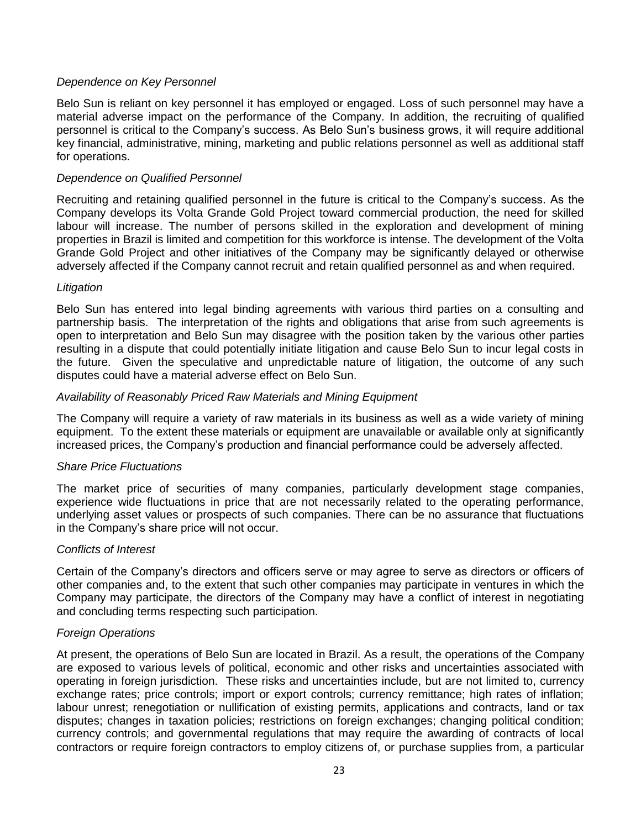### *Dependence on Key Personnel*

Belo Sun is reliant on key personnel it has employed or engaged. Loss of such personnel may have a material adverse impact on the performance of the Company. In addition, the recruiting of qualified personnel is critical to the Company's success. As Belo Sun's business grows, it will require additional key financial, administrative, mining, marketing and public relations personnel as well as additional staff for operations.

### *Dependence on Qualified Personnel*

Recruiting and retaining qualified personnel in the future is critical to the Company's success. As the Company develops its Volta Grande Gold Project toward commercial production, the need for skilled labour will increase. The number of persons skilled in the exploration and development of mining properties in Brazil is limited and competition for this workforce is intense. The development of the Volta Grande Gold Project and other initiatives of the Company may be significantly delayed or otherwise adversely affected if the Company cannot recruit and retain qualified personnel as and when required.

### *Litigation*

Belo Sun has entered into legal binding agreements with various third parties on a consulting and partnership basis. The interpretation of the rights and obligations that arise from such agreements is open to interpretation and Belo Sun may disagree with the position taken by the various other parties resulting in a dispute that could potentially initiate litigation and cause Belo Sun to incur legal costs in the future. Given the speculative and unpredictable nature of litigation, the outcome of any such disputes could have a material adverse effect on Belo Sun.

### *Availability of Reasonably Priced Raw Materials and Mining Equipment*

The Company will require a variety of raw materials in its business as well as a wide variety of mining equipment. To the extent these materials or equipment are unavailable or available only at significantly increased prices, the Company's production and financial performance could be adversely affected.

### *Share Price Fluctuations*

The market price of securities of many companies, particularly development stage companies, experience wide fluctuations in price that are not necessarily related to the operating performance, underlying asset values or prospects of such companies. There can be no assurance that fluctuations in the Company's share price will not occur.

### *Conflicts of Interest*

Certain of the Company's directors and officers serve or may agree to serve as directors or officers of other companies and, to the extent that such other companies may participate in ventures in which the Company may participate, the directors of the Company may have a conflict of interest in negotiating and concluding terms respecting such participation.

### *Foreign Operations*

At present, the operations of Belo Sun are located in Brazil. As a result, the operations of the Company are exposed to various levels of political, economic and other risks and uncertainties associated with operating in foreign jurisdiction. These risks and uncertainties include, but are not limited to, currency exchange rates; price controls; import or export controls; currency remittance; high rates of inflation; labour unrest; renegotiation or nullification of existing permits, applications and contracts, land or tax disputes; changes in taxation policies; restrictions on foreign exchanges; changing political condition; currency controls; and governmental regulations that may require the awarding of contracts of local contractors or require foreign contractors to employ citizens of, or purchase supplies from, a particular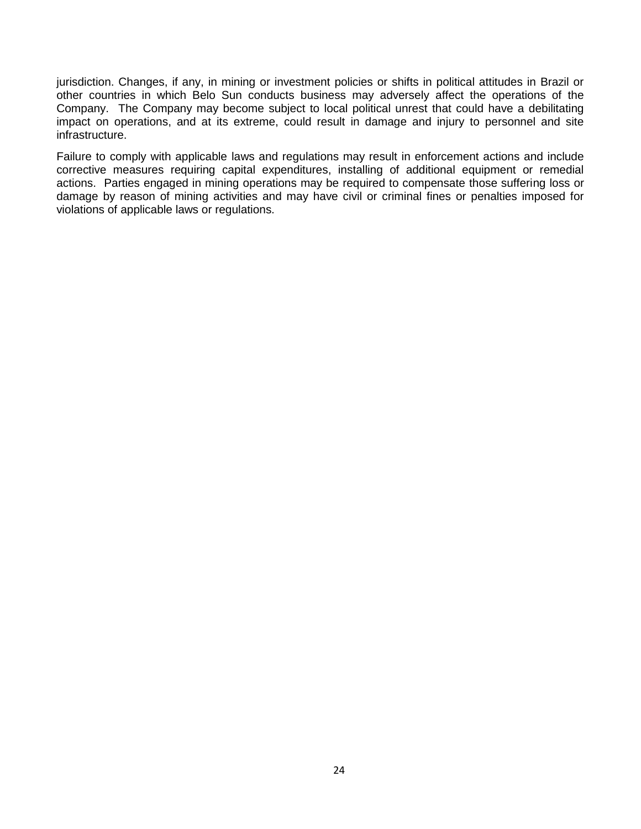jurisdiction. Changes, if any, in mining or investment policies or shifts in political attitudes in Brazil or other countries in which Belo Sun conducts business may adversely affect the operations of the Company. The Company may become subject to local political unrest that could have a debilitating impact on operations, and at its extreme, could result in damage and injury to personnel and site infrastructure.

Failure to comply with applicable laws and regulations may result in enforcement actions and include corrective measures requiring capital expenditures, installing of additional equipment or remedial actions. Parties engaged in mining operations may be required to compensate those suffering loss or damage by reason of mining activities and may have civil or criminal fines or penalties imposed for violations of applicable laws or regulations.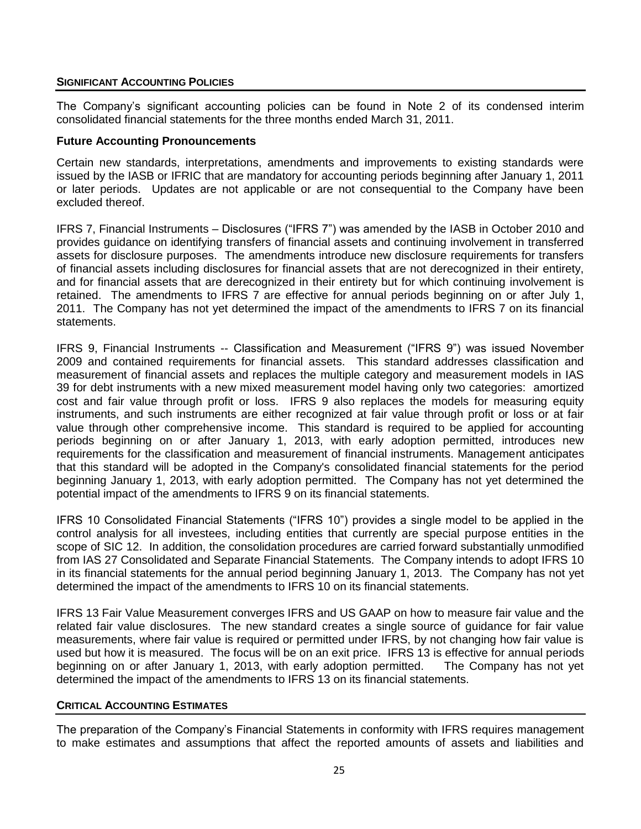### **SIGNIFICANT ACCOUNTING POLICIES**

The Company's significant accounting policies can be found in Note 2 of its condensed interim consolidated financial statements for the three months ended March 31, 2011.

### **Future Accounting Pronouncements**

Certain new standards, interpretations, amendments and improvements to existing standards were issued by the IASB or IFRIC that are mandatory for accounting periods beginning after January 1, 2011 or later periods. Updates are not applicable or are not consequential to the Company have been excluded thereof.

IFRS 7, Financial Instruments – Disclosures ("IFRS 7") was amended by the IASB in October 2010 and provides guidance on identifying transfers of financial assets and continuing involvement in transferred assets for disclosure purposes. The amendments introduce new disclosure requirements for transfers of financial assets including disclosures for financial assets that are not derecognized in their entirety, and for financial assets that are derecognized in their entirety but for which continuing involvement is retained. The amendments to IFRS 7 are effective for annual periods beginning on or after July 1, 2011. The Company has not yet determined the impact of the amendments to IFRS 7 on its financial statements.

IFRS 9, Financial Instruments -- Classification and Measurement ("IFRS 9") was issued November 2009 and contained requirements for financial assets. This standard addresses classification and measurement of financial assets and replaces the multiple category and measurement models in IAS 39 for debt instruments with a new mixed measurement model having only two categories: amortized cost and fair value through profit or loss. IFRS 9 also replaces the models for measuring equity instruments, and such instruments are either recognized at fair value through profit or loss or at fair value through other comprehensive income. This standard is required to be applied for accounting periods beginning on or after January 1, 2013, with early adoption permitted, introduces new requirements for the classification and measurement of financial instruments. Management anticipates that this standard will be adopted in the Company's consolidated financial statements for the period beginning January 1, 2013, with early adoption permitted. The Company has not yet determined the potential impact of the amendments to IFRS 9 on its financial statements.

IFRS 10 Consolidated Financial Statements ("IFRS 10") provides a single model to be applied in the control analysis for all investees, including entities that currently are special purpose entities in the scope of SIC 12. In addition, the consolidation procedures are carried forward substantially unmodified from IAS 27 Consolidated and Separate Financial Statements. The Company intends to adopt IFRS 10 in its financial statements for the annual period beginning January 1, 2013. The Company has not yet determined the impact of the amendments to IFRS 10 on its financial statements.

IFRS 13 Fair Value Measurement converges IFRS and US GAAP on how to measure fair value and the related fair value disclosures. The new standard creates a single source of guidance for fair value measurements, where fair value is required or permitted under IFRS, by not changing how fair value is used but how it is measured. The focus will be on an exit price. IFRS 13 is effective for annual periods beginning on or after January 1, 2013, with early adoption permitted. The Company has not yet determined the impact of the amendments to IFRS 13 on its financial statements.

### **CRITICAL ACCOUNTING ESTIMATES**

The preparation of the Company's Financial Statements in conformity with IFRS requires management to make estimates and assumptions that affect the reported amounts of assets and liabilities and